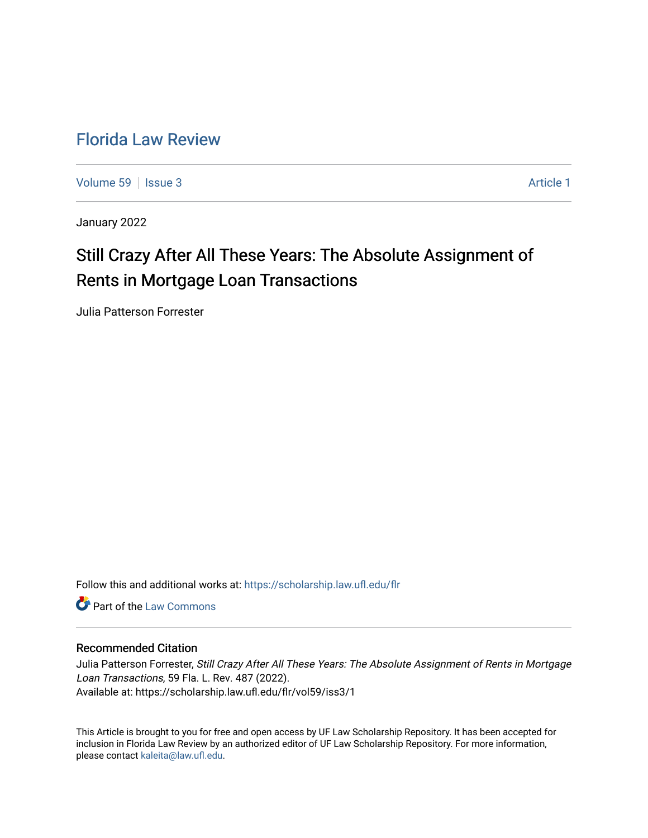# [Florida Law Review](https://scholarship.law.ufl.edu/flr)

[Volume 59](https://scholarship.law.ufl.edu/flr/vol59) | [Issue 3](https://scholarship.law.ufl.edu/flr/vol59/iss3) Article 1

January 2022

# Still Crazy After All These Years: The Absolute Assignment of Rents in Mortgage Loan Transactions

Julia Patterson Forrester

Follow this and additional works at: [https://scholarship.law.ufl.edu/flr](https://scholarship.law.ufl.edu/flr?utm_source=scholarship.law.ufl.edu%2Fflr%2Fvol59%2Fiss3%2F1&utm_medium=PDF&utm_campaign=PDFCoverPages)

**C** Part of the [Law Commons](http://network.bepress.com/hgg/discipline/578?utm_source=scholarship.law.ufl.edu%2Fflr%2Fvol59%2Fiss3%2F1&utm_medium=PDF&utm_campaign=PDFCoverPages)

# Recommended Citation

Julia Patterson Forrester, Still Crazy After All These Years: The Absolute Assignment of Rents in Mortgage Loan Transactions, 59 Fla. L. Rev. 487 (2022). Available at: https://scholarship.law.ufl.edu/flr/vol59/iss3/1

This Article is brought to you for free and open access by UF Law Scholarship Repository. It has been accepted for inclusion in Florida Law Review by an authorized editor of UF Law Scholarship Repository. For more information, please contact [kaleita@law.ufl.edu](mailto:kaleita@law.ufl.edu).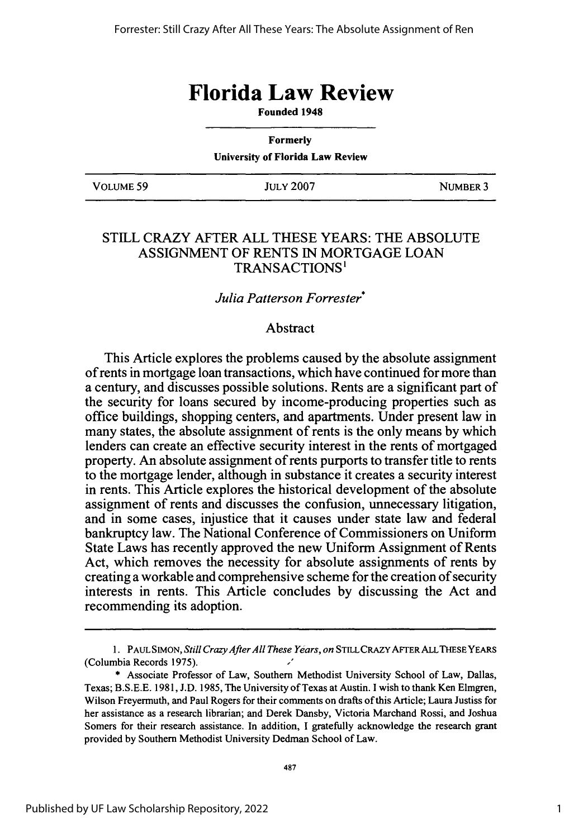# **Florida Law Review**

**Founded 1948**

| <b>Formerly</b><br><b>University of Florida Law Review</b> |                  |          |  |
|------------------------------------------------------------|------------------|----------|--|
| VOLUME 59                                                  | <b>JULY 2007</b> | NUMBER 3 |  |

## STILL CRAZY AFTER ALL THESE YEARS: THE ABSOLUTE ASSIGNMENT OF RENTS IN MORTGAGE LOAN TRANSACTIONS'

### *Julia Patterson Forrester\**

# Abstract

This Article explores the problems caused by the absolute assignment of rents in mortgage loan transactions, which have continued for more than a century, and discusses possible solutions. Rents are a significant part of the security for loans secured by income-producing properties such as office buildings, shopping centers, and apartments. Under present law in many states, the absolute assignment of rents is the only means by which lenders can create an effective security interest in the rents of mortgaged property. An absolute assignment of rents purports to transfer title to rents to the mortgage lender, although in substance it creates a security interest in rents. This Article explores the historical development of the absolute assignment of rents and discusses the confusion, unnecessary litigation, and in some cases, injustice that it causes under state law and federal bankruptcy law. The National Conference of Commissioners on Uniform State Laws has recently approved the new Uniform Assignment of Rents Act, which removes the necessity for absolute assignments of rents by creating a workable and comprehensive scheme for the creation of security interests in rents. This Article concludes by discussing the Act and recommending its adoption.

<sup>1.</sup> PAUL SIMON, *Still Crazy After All These Years, on* STILLCRAZYAFTERALLTHESEYEARS (Columbia Records 1975).

<sup>\*</sup> Associate Professor of Law, Southern Methodist University School of Law, Dallas, Texas; B.S.E.E. 1981, J.D. 1985, The University of Texas at Austin. I wish to thank Ken Elmgren, Wilson Freyermuth, and Paul Rogers for their comments on drafts of this Article; Laura Justiss for her assistance as a research librarian; and Derek Dansby, Victoria Marchand Rossi, and Joshua Somers for their research assistance. In addition, I gratefully acknowledge the research grant provided by Southern Methodist University Dedman School of Law.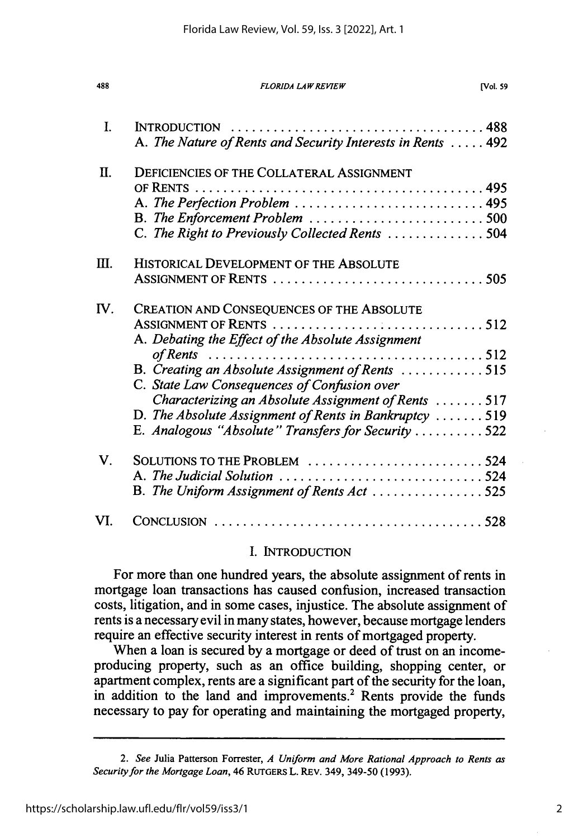| 488 | <b>FLORIDA LAW REVIEW</b>                                                                                                                                                                                                                                                                                                                                                                                                                                                           | <b>Nol. 59</b> |
|-----|-------------------------------------------------------------------------------------------------------------------------------------------------------------------------------------------------------------------------------------------------------------------------------------------------------------------------------------------------------------------------------------------------------------------------------------------------------------------------------------|----------------|
| I.  | A. The Nature of Rents and Security Interests in Rents  492                                                                                                                                                                                                                                                                                                                                                                                                                         |                |
| Π.  | <b>DEFICIENCIES OF THE COLLATERAL ASSIGNMENT</b><br>A. The Perfection Problem  495<br>B. The Enforcement Problem 500<br>C. The Right to Previously Collected Rents 504                                                                                                                                                                                                                                                                                                              |                |
| Ш.  | HISTORICAL DEVELOPMENT OF THE ABSOLUTE                                                                                                                                                                                                                                                                                                                                                                                                                                              |                |
| IV. | CREATION AND CONSEQUENCES OF THE ABSOLUTE<br>A. Debating the Effect of the Absolute Assignment<br>of Rents $\ldots \ldots \ldots \ldots \ldots \ldots \ldots \ldots \ldots \ldots \ldots \ldots \ldots 512$<br>B. Creating an Absolute Assignment of Rents 515<br>C. State Law Consequences of Confusion over<br>Characterizing an Absolute Assignment of Rents 517<br>D. The Absolute Assignment of Rents in Bankruptcy  519<br>E. Analogous "Absolute" Transfers for Security 522 |                |
| V.  | SOLUTIONS TO THE PROBLEM 524<br>A. The Judicial Solution 524<br>B. The Uniform Assignment of Rents Act 525                                                                                                                                                                                                                                                                                                                                                                          |                |
| VI. |                                                                                                                                                                                                                                                                                                                                                                                                                                                                                     |                |

### I. INTRODUCTION

For more than one hundred years, the absolute assignment of rents in mortgage loan transactions has caused confusion, increased transaction costs, litigation, and in some cases, injustice. The absolute assignment of rents is a necessary evil in many states, however, because mortgage lenders require an effective security interest in rents of mortgaged property.

When a loan is secured by a mortgage or deed of trust on an incomeproducing property, such as an office building, shopping center, or apartment complex, rents are a significant part of the security for the loan, in addition to the land and improvements.<sup>2</sup> Rents provide the funds necessary to pay for operating and maintaining the mortgaged property,

*<sup>2.</sup> See* Julia Patterson Forrester, *A Uniform and More Rational Approach to Rents as Security for the Mortgage Loan,* 46 RUTGERS L. REv. 349, 349-50 (1993).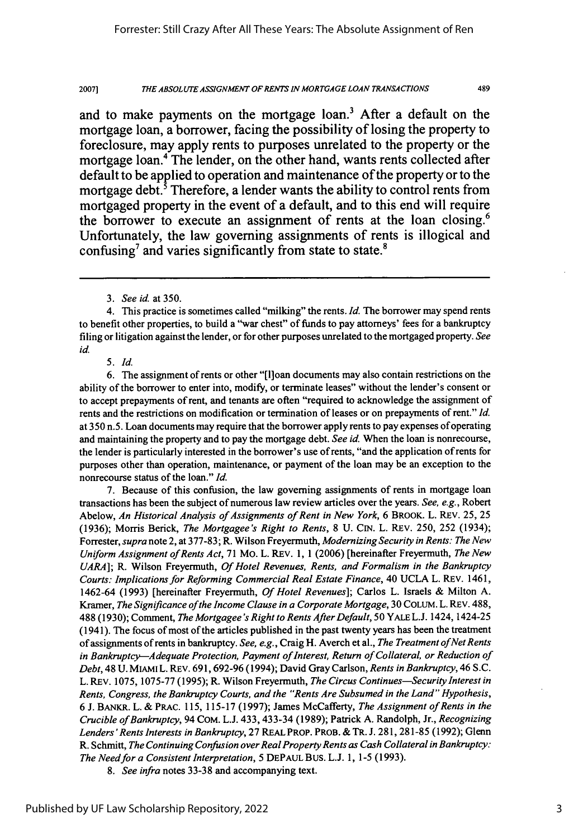489

and to make payments on the mortgage loan.<sup>3</sup> After a default on the mortgage loan, a borrower, facing the possibility of losing the property to foreclosure, may apply rents to purposes unrelated to the property or the mortgage loan.<sup>4</sup> The lender, on the other hand, wants rents collected after default to be applied to operation and maintenance of the property or to the mortgage debt.<sup>5</sup> Therefore, a lender wants the ability to control rents from mortgaged property in the event of a default, and to this end will require the borrower to execute an assignment of rents at the loan closing.<sup>6</sup> Unfortunately, the law governing assignments of rents is illogical and confusing<sup>7</sup> and varies significantly from state to state.<sup>8</sup>

4. This practice is sometimes called "milking" the rents. *Id.* The borrower may spend rents to benefit other properties, to build a "war chest" of funds to pay attorneys' fees for a bankruptcy filing or litigation against the lender, or for other purposes unrelated to the mortgaged property. *See id.*

*5. Id.*

6. The assignment of rents or other "[l]oan documents may also contain restrictions on the ability of the borrower to enter into, modify, or terminate leases" without the lender's consent or to accept prepayments of rent, and tenants are often "required to acknowledge the assignment of rents and the restrictions on modification or termination of leases or on prepayments of rent." *Id.* at 350 n.5. Loan documents may require that the borrower apply rents to pay expenses of operating and maintaining the property and to pay the mortgage debt. *See id.* When the loan is nonrecourse, the lender is particularly interested in the borrower's use of rents, "and the application of rents for purposes other than operation, maintenance, or payment of the loan may be an exception to the nonrecourse status of the loan." *Id.*

7. Because of this confusion, the law governing assignments of rents in mortgage loan transactions has been the subject of numerous law review articles over the years. *See, e.g.,* Robert Abelow, *An Historical Analysis of Assignments of Rent in New York,* 6 BROOK. L. REV. 25, 25 (1936); Morris Berick, *The Mortgagee's Right to Rents,* 8 U. CIN. L. REV. 250, 252 (1934); Forrester, *supra* note 2, at 377-83; R. Wilson Freyermuth, *Modernizing Security in Rents: The New Uniform Assignment of Rents Act,* 71 Mo. L. REV. 1, 1 (2006) [hereinafter Freyermuth, *The New UARA];* R. Wilson Freyermuth, *Of Hotel Revenues, Rents, and Formalism in the Bankruptcy Courts: Implications for Reforming Commercial Real Estate Finance,* 40 UCLA L. REV. 1461, 1462-64 (1993) [hereinafter Freyermuth, *Of Hotel Revenues];* Carlos L. Israels & Milton A. Kramer, *The Significance of the Income Clause in a Corporate Mortgage,* 30 COLUM. L. REV. 488, 488 (1930); Comment, *The Mortgagee's Right to Rents After Default,* 50 YALE L.J. 1424, 1424-25 (1941). The focus of most of the articles published in the past twenty years has been the treatment of assignments of rents in bankruptcy. *See, e.g.,* Craig H. Averch et al., *The Treatment of Net Rents in Bankruptcy--Adequate Protection, Payment of Interest, Return of Collateral, or Reduction of Debt,* 48 U. MIAMI L. REV. 691,692-96 (1994); David Gray Carlson, *Rents in Bankruptcy,* 46 S.C. L. REV. 1075, 1075-77 (1995); R. Wilson Freyermuth, *The Circus Continues-Security Interest in Rents, Congress, the Bankruptcy Courts, and the "Rents Are Subsumed in the Land" Hypothesis,* 6 J. BANKR. L. & PRAC. 115, 115-17 (1997); James McCafferty, *The Assignment of Rents in the Crucible of Bankruptcy,* 94 COM. L.J. 433,433-34 (1989); Patrick A. Randolph, Jr., *Recognizing Lenders'Rents Interests in Bankruptcy,* 27 REAL PROP. PROB. & TR. J. 281, 281-85 (1992); Glenn R. Schmitt, *The Continuing Confusion over Real Property Rents as Cash Collateral in Bankruptcy: The Need for a Consistent Interpretation,* 5 DEPAUL Bus. L.J. 1, 1-5 (1993).

*8. See infra* notes 33-38 and accompanying text.

*<sup>3.</sup> See id.* at 350.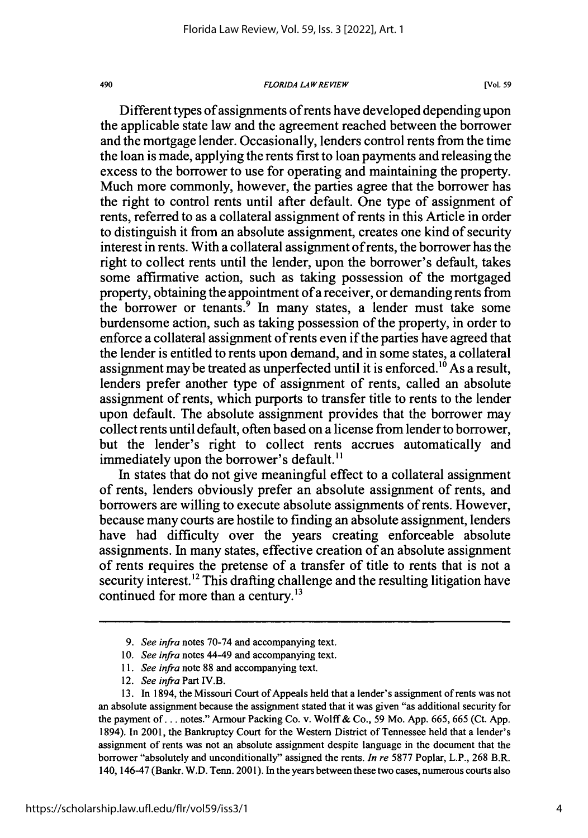### 490 *FLORIDA LAW REVIEW* [Vol. **59**

Different types of assignments of rents have developed depending upon the applicable state law and the agreement reached between the borrower and the mortgage lender. Occasionally, lenders control rents from the time the loan is made, applying the rents first to loan payments and releasing the excess to the borrower to use for operating and maintaining the property. Much more commonly, however, the parties agree that the borrower has the right to control rents until after default. One type of assignment of rents, referred to as a collateral assignment of rents in this Article in order to distinguish it from an absolute assignment, creates one kind of security interest in rents. With a collateral assignment of rents, the borrower has the right to collect rents until the lender, upon the borrower's default, takes some affirmative action, such as taking possession of the mortgaged property, obtaining the appointment of a receiver, or demanding rents from the borrower or tenants.<sup>9</sup> In many states, a lender must take some burdensome action, such as taking possession of the property, in order to enforce a collateral assignment of rents even if the parties have agreed that the lender is entitled to rents upon demand, and in some states, a collateral assignment may be treated as unperfected until it is enforced.<sup>10</sup> As a result, lenders prefer another type of assignment of rents, called an absolute assignment of rents, which purports to transfer title to rents to the lender upon default. The absolute assignment provides that the borrower may collect rents until default, often based on a license from lender to borrower, but the lender's right to collect rents accrues automatically and immediately upon the borrower's default.<sup>11</sup>

In states that do not give meaningful effect to a collateral assignment of rents, lenders obviously prefer an absolute assignment of rents, and borrowers are willing to execute absolute assignments of rents. However, because many courts are hostile to finding an absolute assignment, lenders have had difficulty over the years creating enforceable absolute assignments. In many states, effective creation of an absolute assignment of rents requires the pretense of a transfer of title to rents that is not a security interest.<sup>12</sup> This drafting challenge and the resulting litigation have continued for more than a century.<sup>13</sup>

*<sup>9.</sup> See infra* notes 70-74 and accompanying text.

*<sup>10.</sup> See infra* notes 44-49 and accompanying text.

*<sup>11.</sup> See infra* note 88 and accompanying text.

<sup>12.</sup> *See infra* Part IV.B.

<sup>13.</sup> In 1894, the Missouri Court of Appeals held that a lender's assignment of rents was not an absolute assignment because the assignment stated that it was given "as additional security for the payment of... notes." Armour Packing Co. v. Wolff& Co., 59 Mo. App. 665, 665 (Ct. App. 1894). In 2001, the Bankruptcy Court for the Western District of Tennessee held that a lender's assignment of rents was not an absolute assignment despite language in the document that the borrower "absolutely and unconditionally" assigned the rents. *In re* 5877 Poplar, L.P., 268 B.R. 140, 146-47 (Bankr. W.D. Tenn. 2001). In the years between these two cases, numerous courts also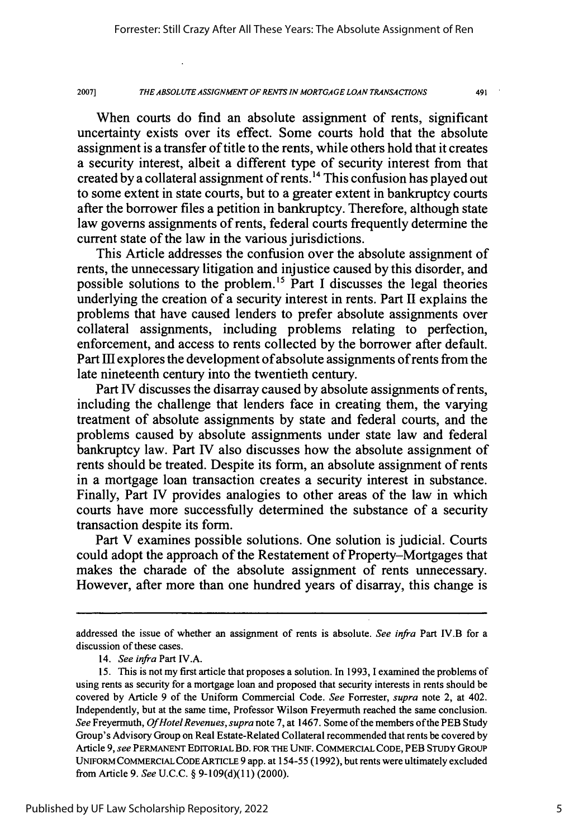491

When courts do find an absolute assignment of rents, significant uncertainty exists over its effect. Some courts hold that the absolute assignment is a transfer of title to the rents, while others hold that it creates a security interest, albeit a different type of security interest from that created by a collateral assignment of rents.<sup>14</sup> This confusion has played out to some extent in state courts, but to a greater extent in bankruptcy courts after the borrower files a petition in bankruptcy. Therefore, although state law governs assignments of rents, federal courts frequently determine the current state of the law in the various jurisdictions.

This Article addresses the confusion over the absolute assignment of rents, the unnecessary litigation and injustice caused **by** this disorder, and possible solutions to the problem.<sup>15</sup> Part I discusses the legal theories underlying the creation of a security interest in rents. Part II explains the problems that have caused lenders to prefer absolute assignments over collateral assignments, including problems relating to perfection, enforcement, and access to rents collected **by** the borrower after default. Part **III** explores the development of absolute assignments of rents from the late nineteenth century into the twentieth century.

Part IV discusses the disarray caused **by** absolute assignments of rents, including the challenge that lenders face in creating them, the varying treatment of absolute assignments **by** state and federal courts, and the problems caused **by** absolute assignments under state law and federal bankruptcy law. Part IV also discusses how the absolute assignment of rents should be treated. Despite its form, an absolute assignment of rents in a mortgage loan transaction creates a security interest in substance. Finally, Part *IV* provides analogies to other areas of the law in which courts have more successfully determined the substance of a security transaction despite its form.

Part V examines possible solutions. One solution is judicial. Courts could adopt the approach of the Restatement of Property-Mortgages that makes the charade of the absolute assignment of rents unnecessary. However, after more than one hundred years of disarray, this change is

addressed the issue of whether an assignment of rents is absolute. *See infra* Part IV.B for a discussion of these cases.

<sup>14.</sup> *See infra* Part IV.A.

<sup>15.</sup> This is not my first article that proposes a solution. In 1993, I examined the problems of using rents as security for a mortgage loan and proposed that security interests in rents should be covered by Article 9 of the Uniform Commercial Code. *See* Forrester, *supra* note 2, at 402. Independently, but at the same time, Professor Wilson Freyermuth reached the same conclusion. *See* Freyermuth, *Of Hotel Revenues, supra* note 7, at 1467. Some of the members of the PEB Study Group's Advisory Group on Real Estate-Related Collateral recommended that rents be covered by Article 9, *see* PERMANENT EDITORIAL BD. **FOR** THE UNIF. COMMERCIAL CODE, PEB **STUDY** GROUP **UNIFORM** COMMERCIAL **CODE** ARTICLE 9 app. at 154-55 (1992), but rents were ultimately excluded from Article 9. *See* U.C.C. § 9-109(d)(1 1) (2000).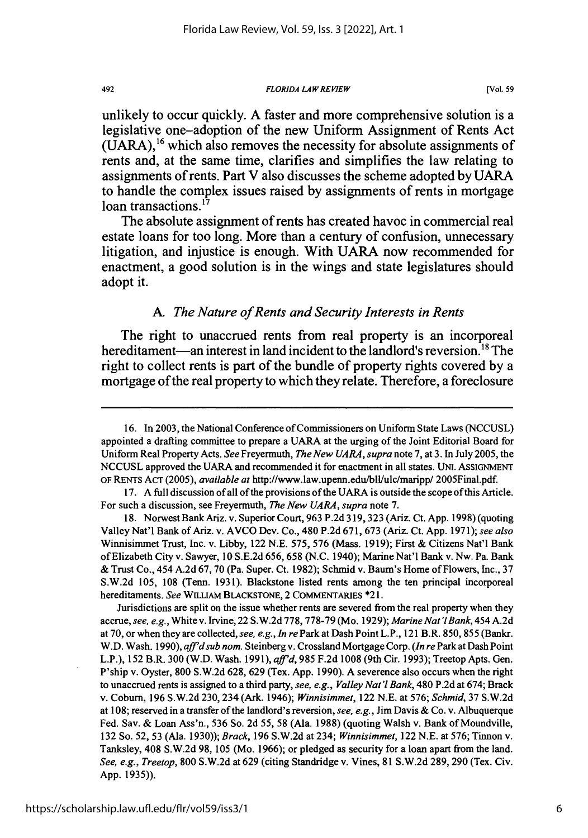### *FLORIDA LAW REVIEW*

unlikely to occur quickly. **A** faster and more comprehensive solution is a legislative one-adoption of the new Uniform Assignment of Rents Act **(UARA),16** which also removes the necessity for absolute assignments of rents and, at the same time, clarifies and simplifies the law relating to assignments of rents. Part V also discusses the scheme adopted **by UARA** to handle the complex issues raised **by** assignments of rents in mortgage loan transactions.<sup>17</sup>

The absolute assignment of rents has created havoc in commercial real estate loans for too long. More than a century of confusion, unnecessary litigation, and injustice is enough. With **UARA** now recommended for enactment, a good solution is in the wings and state legislatures should adopt it.

### *A. The Nature of Rents and Security Interests in Rents*

The right to unaccrued rents from real property is an incorporeal hereditament—an interest in land incident to the landlord's reversion.<sup>18</sup> The right to collect rents is part of the bundle of property rights covered **by** a mortgage of the real property to which they relate. Therefore, a foreclosure

Jurisdictions are split on the issue whether rents are severed from the real property when they accrue, *see, e.g.,* White v. Irvine, 22 S.W.2d 778, 778-79 (Mo. 1929); *Marine Nat'l Bank,* 454 A.2d at 70, or when they are collected, *see, e.g., In re* Park at Dash Point L.P., 121 B.R. 850, 855 (Bankr. W.D. Wash. 1990), *aff'dsub nom.* Steinberg v. Crossland Mortgage Corp. *(In re* Park at Dash Point L.P.), 152 B.R. 300 (W.D. Wash. 1991), *aff'd,* 985 F.2d 1008 (9th Cir. 1993); Treetop Apts. Gen. P'ship v. Oyster, 800 S.W.2d 628, 629 (Tex. App. 1990). A severence also occurs when the right to unaccrued rents is assigned to a third party, *see, e.g., Valley Nat'l Bank,* 480 P.2d at 674; Brack v. Coburn, 196 S.W.2d 230, 234 (Ark. 1946); *Winnisimmet,* 122 N.E. at 576; *Schmid,* 37 S.W.2d at 108; reserved in a transfer of the landlord's reversion, *see, e.g.,* Jim Davis & Co. v. Albuquerque Fed. Sav. & Loan Ass'n., 536 So. 2d 55, 58 (Ala. 1988) (quoting Walsh v. Bank of Moundville, 132 So. 52, 53 (Ala. 1930)); *Brack,* 196 S.W.2d at 234; *Winnisimmet,* 122 N.E. at 576; Tinnon v. Tanksley, 408 S.W.2d 98, 105 (Mo. 1966); or pledged as security for a loan apart from the land. *See, e.g., Treetop,* 800 S.W.2d at 629 (citing Standridge v. Vines, 81 S.W.2d 289, 290 (Tex. Civ. App. 1935)).

492

<sup>16.</sup> In 2003, the National Conference of Commissioners on Uniform State Laws (NCCUSL) appointed a drafting committee to prepare a UARA at the urging of the Joint Editorial Board for Uniform Real Property Acts. *See* Freyermuth, *The New UARA, supra* note 7, at 3. In July 2005, the NCCUSL approved the UARA and recommended it for enactment in all states. UNI. ASSIGNMENT OF RENTS **ACT** (2005), *available at* http://www.law.upenn.edu/bll/ulc/maripp/ 2005Final.pdf.

<sup>17.</sup> A full discussion of all of the provisions of the UARA is outside the scope of this Article. For such a discussion, see Freyermuth, *The New UARA, supra* note 7.

<sup>18.</sup> Norwest Bank Ariz. v. Superior Court, 963 P.2d 319,323 (Ariz. Ct. App. 1998) (quoting Valley Nat'l Bank of Ariz. v. AVCO Dev. Co., 480 P.2d 671, 673 (Ariz. Ct. App. 1971); *see also* Winnisimmet Trust, Inc. v. Libby, 122 N.E. 575, 576 (Mass. 1919); First & Citizens Nat'l Bank of Elizabeth City v. Sawyer, 10 S.E.2d 656, 658 (N.C. 1940); Marine Nat'l Bank v. Nw. Pa. Bank & Trust Co., 454 A.2d 67, 70 (Pa. Super. Ct. 1982); Schmid v. Baum's Home of Flowers, Inc., 37 S.W.2d 105, 108 (Tenn. 1931). Blackstone listed rents among the ten principal incorporeal hereditaments. *See* **WILLIAM** BLACKSTONE, 2 COMMENTARIES \*21.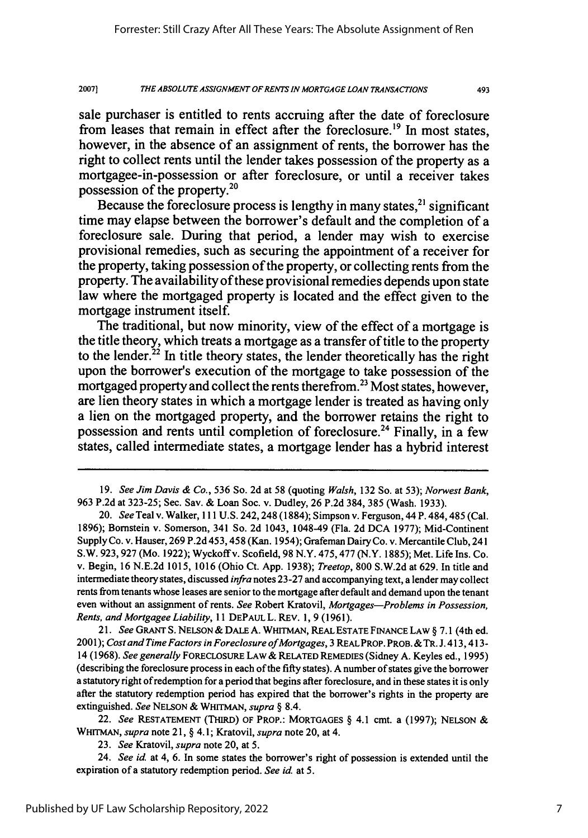493

sale purchaser is entitled to rents accruing after the date of foreclosure from leases that remain in effect after the foreclosure.<sup>19</sup> In most states, however, in the absence of an assignment of rents, the borrower has the right to collect rents until the lender takes possession of the property as a mortgagee-in-possession or after foreclosure, or until a receiver takes possession of the property.20

Because the foreclosure process is lengthy in many states,  $2<sup>1</sup>$  significant time may elapse between the borrower's default and the completion of a foreclosure sale. During that period, a lender may wish to exercise provisional remedies, such as securing the appointment of a receiver for the property, taking possession of the property, or collecting rents from the property. The availability of these provisional remedies depends upon state law where the mortgaged property is located and the effect given to the mortgage instrument itself.

The traditional, but now minority, view of the effect of a mortgage is the title theory, which treats a mortgage as a transfer of title to the property to the lender.<sup>22</sup> In title theory states, the lender theoretically has the right upon the borrower's execution of the mortgage to take possession of the mortgaged property and collect the rents therefrom. 23 Most states, however, are lien theory states in which a mortgage lender is treated as having only a lien on the mortgaged property, and the borrower retains the right to possession and rents until completion of foreclosure. 24 Finally, in a few states, called intermediate states, a mortgage lender has a hybrid interest

*21. See* GRANT S. NELSON & DALE A. WHITMAN, REAL ESTATE FINANCE LAW § 7.1 (4th ed. 2001); *Cost and Time Factors in Foreclosure of Mortgages,* 3 REAL PROP. PROB. & TR. J. 413,413- 14 (1968). *See generally* FOREcLOSuRE LAW & RELATED **REMEDIES** (Sidney **A.** Keyles ed., 1995) (describing the foreclosure process in each of the **fifty** states). **A** number of states give the borrower a statutory right of redemption for a period that begins after foreclosure, and in these states it is only after the statutory redemption period has expired that the borrower's rights in the property are extinguished. *See* NELSON & WHITMAN, *supra §* 8.4.

22. *See* **RESTATEMENT (THIRD)** OF PROP.: **MORTGAGES** § 4.1 cmt. a (1997); NELSON & WHITMAN, *supra* note 21, § 4.1; Kratovil, *supra* note 20, at 4.

23. *See* Kratovil, *supra* note 20, at 5.

24. *See id.* at 4, 6. In some states the borrower's right of possession is extended until the expiration of a statutory redemption period. *See id.* at 5.

<sup>19.</sup> *See Jim Davis & Co.,* 536 So. 2d at 58 (quoting *Walsh,* 132 So. at 53); *Norwest Bank,* 963 P.2d at 323-25; Sec. Sav. & Loan Soc. v. Dudley, 26 P.2d 384, 385 (Wash. 1933).

<sup>20.</sup> *See* Teal v. **Walker,** 111 U.S. 242,248 (1884); Simpson v. Ferguson, 44 P. 484,485 (Cal. 1896); Bornstein v. Somerson, 341 So. 2d 1043, 1048-49 (Fla. 2d DCA 1977); Mid-Continent Supply Co. v. Hauser, 269 P.2d 453,458 (Kan. 1954); Grafeman Dairy Co. v. Mercantile Club, 241 S.W. 923,927 (Mo. 1922); Wyckoffv. Scofield, 98 N.Y. 475,477 (N.Y. 1885); Met. Life Ins. Co. v. Begin, 16 N.E.2d 1015, 1016 (Ohio Ct. App. 1938); *Treetop,* 800 S.W.2d at 629. In title and intermediate theory states, discussed *infra* notes 23-27 and accompanying text, a lender may collect rents from tenants whose leases are senior to the mortgage after default and demand upon the tenant even without an assignment of rents. *See* Robert Kratovil, *Mortgages-Problems in Possession, Rents, and Mortgagee Liability,* 11 DEPAuL L. REv. 1, 9 (1961).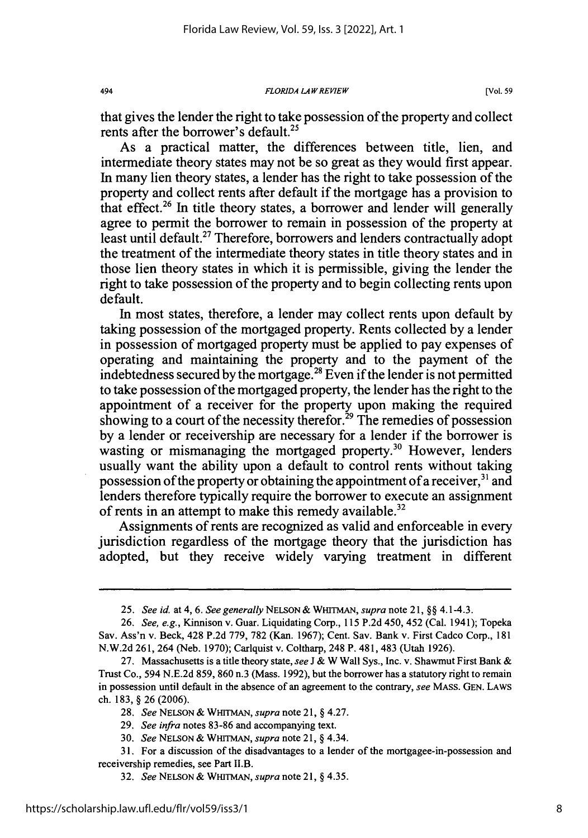**494** *FLORIDA LAW REVIEW* **[Vol. 59**

that gives the lender the right to take possession of the property and collect rents after the borrower's default.<sup>25</sup>

As a practical matter, the differences between title, lien, and intermediate theory states may not be so great as they would first appear. In many lien theory states, a lender has the right to take possession of the property and collect rents after default if the mortgage has a provision to that effect.<sup>26</sup> In title theory states, a borrower and lender will generally agree to permit the borrower to remain in possession of the property at least until default.<sup>27</sup> Therefore, borrowers and lenders contractually adopt the treatment of the intermediate theory states in title theory states and in those lien theory states in which it is permissible, giving the lender the right to take possession of the property and to begin collecting rents upon default.

In most states, therefore, a lender may collect rents upon default by taking possession of the mortgaged property. Rents collected by a lender in possession of mortgaged property must be applied to pay expenses of operating and maintaining the property and to the payment of the indebtedness secured by the mortgage.<sup>28</sup> Even if the lender is not permitted to take possession of the mortgaged property, the lender has the right to the appointment of a receiver for the property upon making the required showing to a court of the necessity therefor.<sup>29</sup> The remedies of possession by a lender or receivership are necessary for a lender if the borrower is wasting or mismanaging the mortgaged property.<sup>30</sup> However, lenders usually want the ability upon a default to control rents without taking possession of the property or obtaining the appointment of a receiver, 31 and lenders therefore typically require the borrower to execute an assignment of rents in an attempt to make this remedy available.<sup>32</sup>

Assignments of rents are recognized as valid and enforceable in every jurisdiction regardless of the mortgage theory that the jurisdiction has adopted, but they receive widely varying treatment in different

*<sup>25.</sup> See id.* at 4, 6. *See generally* NELSON & **WHITMAN,** *supra* note 21, §§ 4.1-4.3.

<sup>26.</sup> *See, e.g.,* Kinnison v. Guar. Liquidating Corp., 115 P.2d 450, 452 (Cal. 1941); Topeka Sav. Ass'n v. Beck, 428 P.2d 779, 782 (Kan. 1967); Cent. Sav. Bank v. First Cadco Corp., 181 N.W.2d 261, 264 (Neb. 1970); Carlquist v. Coltharp, 248 P. 481, 483 (Utah 1926).

<sup>27.</sup> Massachusetts is a title theory state, *see* J & W Wall Sys., Inc. v. Shawmut First Bank & Trust Co., 594 N.E.2d 859, 860 n.3 (Mass. 1992), but the borrower has a statutory right to remain in possession until default in the absence of an agreement to the contrary, *see* MASS. GEN. LAWS ch. 183, § 26 (2006).

<sup>28.</sup> *See* NELSON & WHITMAN, *supra* note 21, § 4.27.

<sup>29.</sup> *See infra* notes 83-86 and accompanying text.

<sup>30.</sup> *See* NELSON & WHITMAN, *supra* note 21, § 4.34.

<sup>31.</sup> For a discussion of the disadvantages to a lender of the mortgagee-in-possession and receivership remedies, see Part II.B.

<sup>32.</sup> *See* NELSON & WHITMAN, *supra* note 21, § 4.35.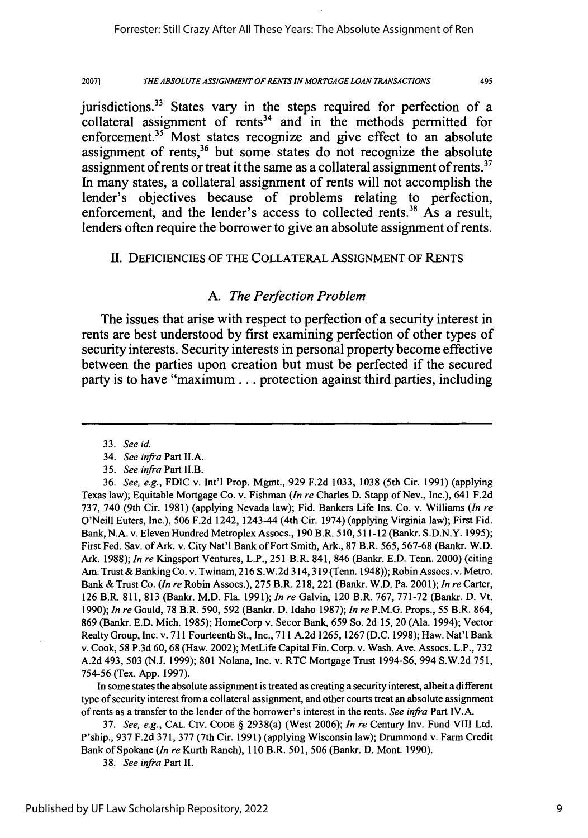495

jurisdictions.<sup>33</sup> States vary in the steps required for perfection of a  $\frac{1}{2}$  collateral assignment of rents<sup>34</sup> and in the methods permitted for enforcement.<sup>35</sup> Most states recognize and give effect to an absolute assignment of rents, $36$  but some states do not recognize the absolute assignment of rents or treat it the same as a collateral assignment of rents.<sup>37</sup> In many states, a collateral assignment of rents will not accomplish the lender's objectives because of problems relating to perfection, enforcement, and the lender's access to collected rents.<sup>38</sup> As a result, lenders often require the borrower to give an absolute assignment of rents.

## II. DEFICIENCIES OF THE COLLATERAL ASSIGNMENT OF RENTS

## *A. The Perfection Problem*

The issues that arise with respect to perfection of a security interest in rents are best understood **by** first examining perfection of other types of security interests. Security interests in personal property become effective between the parties upon creation but must be perfected if the secured party is to have "maximum... protection against third parties, including

In some states the absolute assignment is treated as creating a security interest, albeit a different type of security interest from a collateral assignment, and other courts treat an absolute assignment of rents as a transfer to the lender of the borrower's interest in the rents. *See infra* Part IV.A.

37. *See, e.g.,* CAL. **CIV.** CODE § 2938(a) (West 2006); *In re* Century Inv. Fund VIII Ltd. P'ship., 937 F.2d 371, 377 (7th Cir. 1991) (applying Wisconsin law); Drummond v. Farm Credit Bank of Spokane *(In re* Kurth Ranch), **110** B.R. 501, 506 (Bankr. D. Mont. 1990).

38. *See infra* Part **11.**

<sup>33.</sup> *See* id.

<sup>34.</sup> *See infra* Part II.A.

<sup>35.</sup> *See infra* Part II.B.

<sup>36.</sup> *See, e.g.,* FDIC v. Int'l Prop. Mgmt., 929 F.2d 1033, 1038 (5th Cir. 1991) (applying Texas law); Equitable Mortgage Co. v. Fishman *(In re* Charles D. Stapp of Nev., Inc.), 641 F.2d 737, 740 (9th Cir. 1981) (applying Nevada law); Fid. Bankers Life Ins. Co. v. Williams *(In re* O'Neill Euters, Inc.), 506 F.2d 1242, 1243-44 (4th Cir. 1974) (applying Virginia law); First Fid. Bank, N.A. v. Eleven Hundred Metroplex Assocs., 190 B.R. 510,511-12 (Bankr. S.D.N.Y. 1995); First Fed. Sav. of Ark. v. City Nat'l Bank of Fort Smith, Ark., 87 B.R. 565, 567-68 (Bankr. W.D. Ark. 1988); *In re* Kingsport Ventures, L.P., 251 B.R. 841, 846 (Bankr. E.D. Tenn. 2000) (citing Am. Trust & Banking Co. v. Twinam, 216 S.W.2d 314,319 (Tenn. 1948)); Robin Assocs. v. Metro. Bank & Trust Co. *(In re* Robin Assocs.), 275 B.R. 218, 221 (Bankr. W.D. Pa. 2001); *In re* Carter, 126 B.R. 811, 813 (Bankr. M.D. Fla. 1991); *In re* Galvin, 120 B.R. 767, 771-72 (Bankr. D. Vt. 1990); *In re* Gould, 78 B.R. 590, 592 (Bankr. D. Idaho 1987); *In re* P.M.G. Props., 55 B.R. 864, 869 (Bankr. E.D. Mich. 1985); HomeCorp v. Secor Bank, 659 So. 2d 15, 20 (Ala. 1994); Vector Realty Group, Inc. v. 711 Fourteenth St., Inc., 711 A.2d 1265, 1267 (D.C. 1998); Haw. Nat'l Bank v. Cook, 58 P.3d 60,68 (Haw. 2002); MetLife Capital Fin. Corp. v. Wash. Ave. Assocs. L.P., 732 A.2d 493, 503 (N.J. 1999); 801 Nolana, Inc. v. RTC Mortgage Trust 1994-S6, 994 S.W.2d 751, 754-56 (Tex. App. 1997).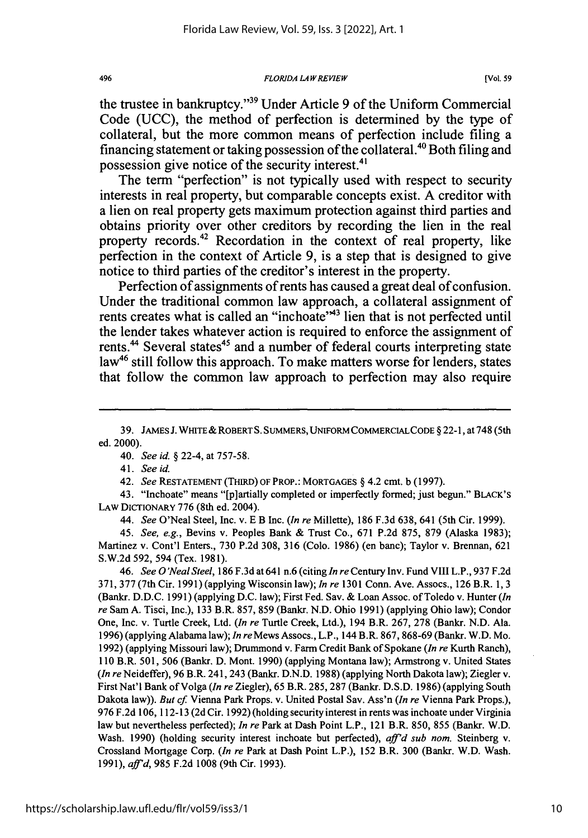the trustee in bankruptcy."39 Under Article 9 of the Uniform Commercial Code (UCC), the method of perfection is determined by the type of collateral, but the more common means of perfection include filing a financing statement or taking possession of the collateral.<sup>40</sup> Both filing and possession give notice of the security interest.<sup>41</sup>

The term "perfection" is not typically used with respect to security interests in real property, but comparable concepts exist. A creditor with a lien on real property gets maximum protection against third parties and obtains priority over other creditors by recording the lien in the real property records.<sup>42</sup> Recordation in the context of real property, like perfection in the context of Article 9, is a step that is designed to give notice to third parties of the creditor's interest in the property.

Perfection of assignments of rents has caused a great deal of confusion. Under the traditional common law approach, a collateral assignment of rents creates what is called an "inchoate"<sup>43</sup> lien that is not perfected until the lender takes whatever action is required to enforce the assignment of rents.<sup>44</sup> Several states<sup>45</sup> and a number of federal courts interpreting state law<sup>46</sup> still follow this approach. To make matters worse for lenders, states that follow the common law approach to perfection may also require

*41. See id.*

42. *See* **RESTATEMENT** (THIRD) OF PROP.: MORTGAGES § 4.2 cmt. b (1997).

43. "Inchoate" means "[p]artially completed or imperfectly formed; just begun." BLACK'S LAW DICTIONARY 776 (8th ed. 2004).

*44. See* O'Neal Steel, Inc. v. **E** B Inc. *(In re* Millette), 186 **F.3d** 638, 641 (5th Cir. 1999).

45. *See, e.g.,* Bevins v. Peoples Bank & Trust Co., **671 P.2d** 875, 879 (Alaska **1983);** Martinez v. Cont'l Enters., **730** P.2d 308, **316** (Colo. 1986) (en banc); Taylor v. Brennan, 621 S.W.2d 592, 594 (Tex. 1981).

*46. See O'Neal Steel,* **186** F.3d at 641 n.6 (citing *In re* Century Inv. Fund VIII L.P., **937 F.2d 371, 377** (7th Cir. 1991) (applying Wisconsin law); *In re* **1301** Conn. Ave. Assocs., 126 B.R. 1, **3** (Bankr. D.D.C. 1991) (applying D.C. law); First Fed. Say. & Loan Assoc. of Toledo v. Hunter *(In re* Sam A. Tisci, Inc.), **133** B.R. 857, 859 (Bankr. N.D. Ohio 1991) (applying Ohio law); Condor One, Inc. v. Turtle Creek, Ltd. *(In re* Turtle Creek, Ltd.), 194 B.R. 267, 278 (Bankr. **N.D.** Ala. 1996) (applying Alabama law); *In re* Mews Assocs., L.P., 144 B.R. 867, 868-69 (Bankr. W.D. Mo. 1992) (applying Missouri law); Drummond v. Farm Credit Bank of Spokane *(In re* Kurth Ranch), 110 B.R. 501, 506 (Bankr. D. Mont. 1990) (applying Montana law); Armstrong v. United States *(In re* Neideffer), 96 B.R. 241, 243 (Bankr. D.N.D. 1988) (applying North Dakota law); Ziegler v. First Nat'l Bank of Volga *(In re* Ziegler), 65 B.R. 285, 287 (Bankr. D.S.D. 1986) (applying South Dakota law)). *But* cf. Vienna Park Props. v. United Postal Sav. Ass'n *(In re* Vienna Park Props.), 976 F.2d 106, 112-13 (2d Cir. 1992) (holding security interest in rents was inchoate under Virginia law but nevertheless perfected); *In re* Park at Dash Point L.P., 121 B.R. 850, 855 (Bankr. W.D. Wash. 1990) (holding security interest inchoate but perfected), *aff'd sub nom*. Steinberg v. Crossland Mortgage Corp. *(In re* Park at Dash Point L.P.), 152 B.R. 300 (Bankr. W.D. Wash. 1991), *aftd,* 985 F.2d 1008 (9th Cir. 1993).

**<sup>39.</sup>** JAMES J. WHITE& ROBERTS. SUMMERS, UNIFORM COMMERCIALCODE § 22-1, at **748** (5th ed. 2000).

<sup>40.</sup> *See id.* § 22-4, at 757-58.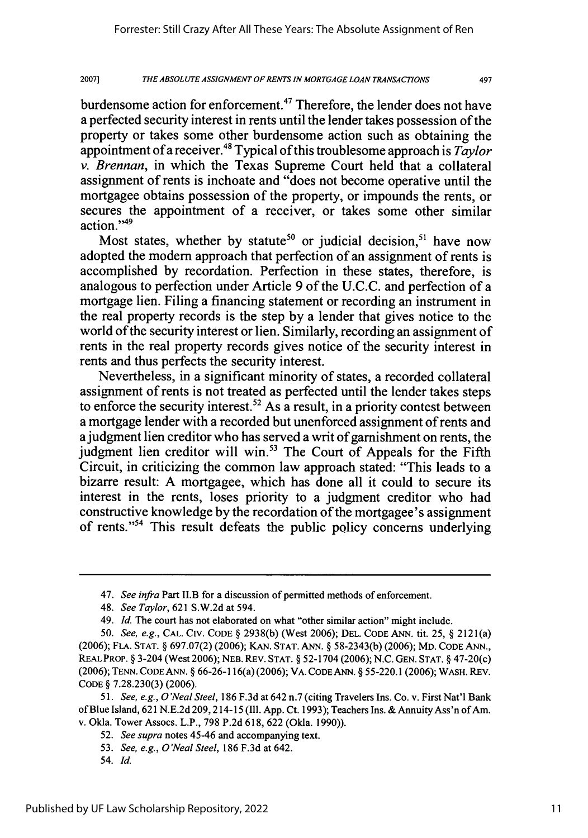497

burdensome action for enforcement.<sup>47</sup> Therefore, the lender does not have a perfected security interest in rents until the lender takes possession of the property or takes some other burdensome action such as obtaining the appointment of a receiver.4" Typical of this troublesome approach is *Taylor v. Brennan*, in which the Texas Supreme Court held that a collateral assignment of rents is inchoate and "does not become operative until the mortgagee obtains possession of the property, or impounds the rents, or secures the appointment of a receiver, or takes some other similar action."<sup>49</sup>

Most states, whether by statute<sup>50</sup> or judicial decision.<sup>51</sup> have now adopted the modem approach that perfection of an assignment of rents is accomplished by recordation. Perfection in these states, therefore, is analogous to perfection under Article 9 of the U.C.C. and perfection of a mortgage lien. Filing a financing statement or recording an instrument in the real property records is the step by a lender that gives notice to the world of the security interest or lien. Similarly, recording an assignment of rents in the real property records gives notice of the security interest in rents and thus perfects the security interest.

Nevertheless, in a significant minority of states, a recorded collateral assignment of rents is not treated as perfected until the lender takes steps to enforce the security interest.<sup>52</sup> As a result, in a priority contest between a mortgage lender with a recorded but unenforced assignment of rents and ajudgment lien creditor who has served a writ of garnishment on rents, the judgment lien creditor will win.<sup>53</sup> The Court of Appeals for the Fifth Circuit, in criticizing the common law approach stated: "This leads to a bizarre result: A mortgagee, which has done all it could to secure its interest in the rents, loses priority to a judgment creditor who had constructive knowledge by the recordation of the mortgagee's assignment of rents."<sup>54</sup> This result defeats the public policy concerns underlying

*52. See supra* notes 45-46 and accompanying text.

*<sup>47.</sup> See infra* Part II.B for a discussion of permitted methods of enforcement.

<sup>48.</sup> *See Taylor,* 621 S.W.2d at 594.

<sup>49.</sup> *Id.* The court has not elaborated on what "other similar action" might include.

<sup>50.</sup> *See, e.g.,* **CAL. CIV. CODE** § 2938(b) (West 2006); **DEL. CODE ANN.** tit. **25,** § 2121(a) (2006); **FLA. STAT.** § 697.07(2) (2006); KAN. **STAT. ANN.** § 58-2343(b) (2006); MD. CODE **ANN.,** REAL PROP. § 3-204 (West 2006); NEB. REV. STAT. § 52-1704 (2006); N.C. GEN. **STAT.** § 47-20(c) (2006); **TENN. CODE ANN.** § 66-26-116(a) (2006); VA. **CODE ANN.** § 55-220.1 (2006); WASH. REV. **CODE** § 7.28.230(3) **(2006).**

*<sup>51.</sup> See, e.g., 0 'Neal Steel,* 186 F.3d at 642 n.7 (citing Travelers Ins. Co. v. First Nat'l Bank of Blue Island, **621 N.E.2d** 209,214-15 (Ill. App. Ct. 1993); Teachers Ins. & Annuity Ass'n of Am. v. Okla. Tower Assocs. L.P., 798 P.2d 618, 622 (Okla. 1990)).

<sup>53.</sup> *See, e.g., O'Neal Steel,* 186 F.3d at 642.

*<sup>54.</sup>* Id.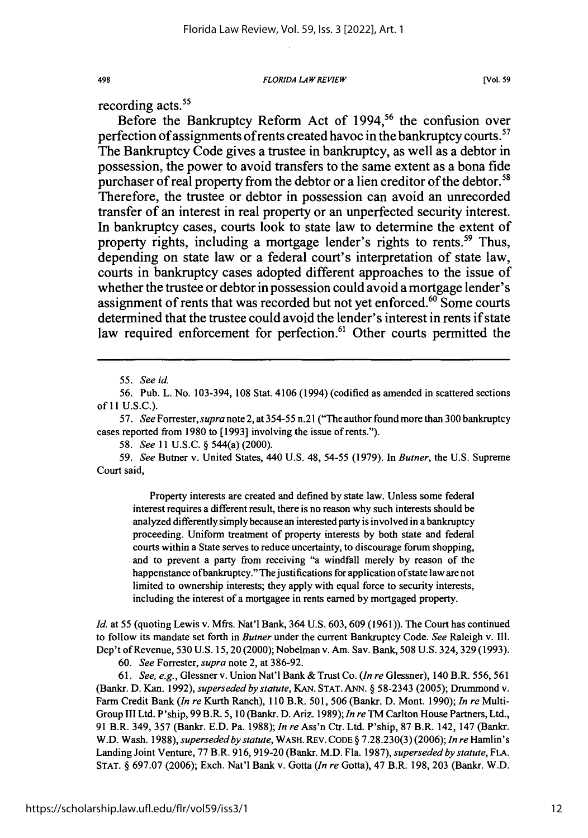*FLORIDA LAW REVIEW*

**[Vol. 59**

recording acts.<sup>55</sup>

498

Before the Bankruptcy Reform Act of 1994,<sup>56</sup> the confusion over perfection of assignments of rents created havoc in the bankruptcy courts.<sup>57</sup> The Bankruptcy Code gives a trustee in bankruptcy, as well as a debtor in possession, the power to avoid transfers to the same extent as a bona fide purchaser of real property from the debtor or a lien creditor of the debtor.<sup>58</sup> Therefore, the trustee or debtor in possession can avoid an unrecorded transfer of an interest in real property or an unperfected security interest. In bankruptcy cases, courts look to state law to determine the extent of property rights, including a mortgage lender's rights to rents.<sup>59</sup> Thus, depending on state law or a federal court's interpretation of state law, courts in bankruptcy cases adopted different approaches to the issue of whether the trustee or debtor in possession could avoid a mortgage lender's assignment of rents that was recorded but not yet enforced.<sup>60</sup> Some courts determined that the trustee could avoid the lender's interest in rents if state law required enforcement for perfection.<sup>61</sup> Other courts permitted the

56. Pub. L. No. 103-394, 108 Stat. 4106 (1994) (codified as amended in scattered sections **of** 11 U.S.C.).

57. *See Forrester, supra* note 2, at 354-55 n.21 ("The author found more than 300 bankruptcy cases reported from 1980 to [1993] involving the issue of rents.").

58. *See* 11 U.S.C. § 544(a) (2000).

*59. See* Butner v. United States, 440 U.S. 48, 54-55 (1979). In *Butner,* the U.S. Supreme Court said,

Property interests are created and defined by state law. Unless some federal interest requires a different result, there is no reason why such interests should be analyzed differently simply because an interested party is involved in a bankruptcy proceeding. Uniform treatment of property interests by both state and federal courts within a State serves to reduce uncertainty, to discourage forum shopping, and to prevent a party from receiving "a windfall merely by reason of the happenstance ofbankruptcy." The justifications for application of state law are not limited to ownership interests; they apply with equal force to security interests, including the interest of a mortgagee in rents earned by mortgaged property.

*Id.* at 55 (quoting Lewis v. Mfrs. Nat'l Bank, 364 U.S. 603, 609 (1961)). The Court has continued to follow its mandate set forth in *Butner* under the current Bankruptcy Code. *See* Raleigh v. Ill. Dep't of Revenue, 530 U.S. 15, 20 (2000); Nobelman v. Am. Sav. Bank, 508 U.S. 324, 329 (1993).

60. *See* Forrester, *supra* note 2, at 386-92.

61. *See, e.g.,* Glessner v. Union Nat'l Bank & Trust Co. *(In re* Glessner), 140 B.R. 556, 561 (Bankr. **D.** Kan. 1992), *superseded by statute,* KAN. STAT. **ANN.** § 58-2343 (2005); Drummond v. Farm Credit Bank *(In re* Kurth Ranch), 110 B.R. 501, 506 (Bankr. D. Mont. 1990); *In re* Multi-Group III Ltd. P'ship, 99 B.R. 5, 10 (Bankr. D. Ariz. 1989); *In re* TM Carlton House Partners, Ltd., 91 B.R. 349, 357 (Bankr. E.D. Pa. 1988); *In re* Ass'n Ctr. Ltd. P'ship, 87 B.R. 142, 147 (Bankr. W.D. Wash. 1988), *superseded by statute,* WASH. REV. CODE § 7.28.230(3) (2006); *In re* Hamlin's Landing Joint Venture, 77 B.R. 916, 919-20 (Bankr. M.D. Fla. 1987), *superseded by statute, FLA.* STAT. § 697.07 (2006); Exch. Nat'l Bank v. Gotta *(In re* Gotta), 47 B.R. 198, 203 (Bankr. W.D.

<sup>55.</sup> *See id.*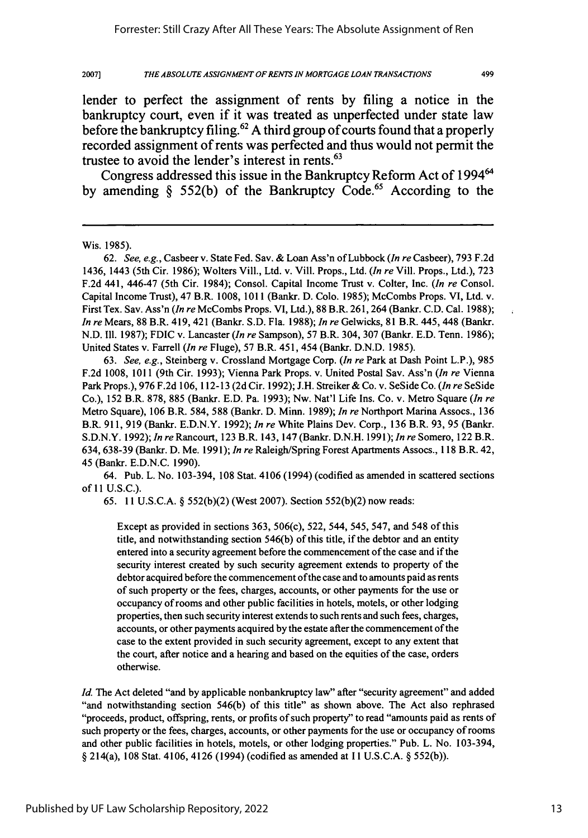499

lender to perfect the assignment of rents **by** filing a notice in the bankruptcy court, even if it was treated as unperfected under state law before the bankruptcy filing.62 **A** third group of courts found that a properly recorded assignment of rents was perfected and thus would not permit the trustee to avoid the lender's interest in rents.<sup>63</sup>

Congress addressed this issue in the Bankruptcy Reform Act of 1994' **by** amending **§ 552(b)** of the Bankruptcy Code.65 According to the

62. *See, e.g.,* Casbeer v. State Fed. Sav. & Loan Ass'n of Lubbock *(In re* Casbeer), 793 F.2d 1436, 1443 (5th Cir. 1986); Wolters Viii., Ltd. v. Vill. Props., Ltd. *(In re* Vill. Props., Ltd.), 723 F.2d 441, 446-47 (5th Cir. 1984); Consol. Capital Income Trust v. Colter, Inc. *(In* re Consol. Capital Income Trust), 47 B.R. 1008, 1011 (Bankr. D. Colo. 1985); McCombs Props. VI, Ltd. v. First Tex. Sav. Ass'n *(In re* McCombs Props. VI, Ltd.), 88 B.R. 261,264 (Bankr. C.D. Cal. 1988); *In re* Mears, 88 B.R. 419, 421 (Bankr. S.D. Fla. 1988); *In re* Gelwicks, 81 B.R. 445,448 (Bankr. N.D. 111. 1987); FDIC v. Lancaster *(In re* Sampson), 57 BR. 304, 307 (Bankr. E.D. Tenn. 1986); United States v. Farrell *(In re* Fluge), 57 B.R. 451, 454 (Bankr. D.N.D. 1985).

63. *See, e.g.,* Steinberg v. Crossland Mortgage Corp. *(In re* Park at Dash Point L.P.), 985 F.2d 1008, 1011 (9th Cir. 1993); Vienna Park Props. v. United Postal Sav. Ass'n *(In re* Vienna Park Props.), 976 F.2d 106, 112-13 (2d Cir. 1992); J.H. Streiker & Co. v. SeSide Co. *(In re* SeSide Co.), 152 B.R. 878, 885 (Bankr. E.D. Pa. 1993); Nw. Nat'l Life Ins. Co. v. Metro Square *(In re* Metro Square), 106 B.R. 584, 588 (Bankr. D. Minn. 1989); *In re* Northport Marina Assocs., 136 B.R. 911, 919 (Bankr. E.D.N.Y. 1992); *In re* White Plains Dev. Corp., 136 B.R. 93, 95 (Bankr. S.D.N.Y. 1992); *In re* Rancourt, 123 B.R. 143,147 (Bankr. D.N.H. 1991); *In re* Somero, 122 B.R. 634, 638-39 (Bankr. D. Me. 1991); *In re* Raleigh/Spring Forest Apartments Assocs., 118 B.R. 42, 45 (Bankr. E.D.N.C. 1990).

64. Pub. L. No. 103-394, 108 Stat. 4106 (1994) (codified as amended in scattered sections of 11 U.S.C.).

65. 11 U.S.C.A. **§** 552(b)(2) (West 2007). Section 552(b)(2) now reads:

Except as provided in sections 363, 506(c), 522, 544, 545, 547, and 548 of this title, and notwithstanding section 546(b) of this title, if the debtor and an entity entered into a security agreement before the commencement of the case and if the security interest created **by** such security agreement extends to property of the debtor acquired before the commencement of the case and to amounts paid as rents of such property or the fees, charges, accounts, or other payments for the use or occupancy of rooms and other public facilities in hotels, motels, or other lodging properties, then such security interest extends to such rents and such fees, charges, accounts, or other payments acquired by the estate after the commencement of the case to the extent provided in such security agreement, except to any extent that the court, after notice and a hearing and based on the equities of the case, orders otherwise.

*Id.* The Act deleted "and by applicable nonbankruptcy law" after "security agreement" and added "and notwithstanding section 546(b) of this title" as shown above. The Act also rephrased "proceeds, product, offspring, rents, or profits of such property" to read "amounts paid as rents of such property or the fees, charges, accounts, or other payments for the use or occupancy of rooms and other public facilities in hotels, motels, or other lodging properties." Pub. L. No. 103-394, § 214(a), 108 Stat. 4106, 4126 (1994) (codified as amended at 11 U.S.C.A. § 552(b)).

Wis. 1985).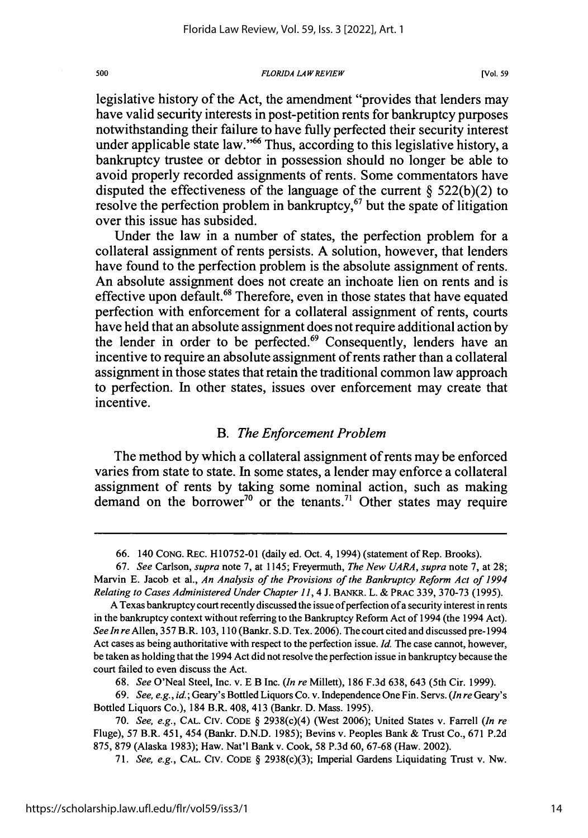#### *FLORIDA LAW REVIEW*

legislative history of the Act, the amendment "provides that lenders may have valid security interests in post-petition rents for bankruptcy purposes notwithstanding their failure to have fully perfected their security interest under applicable state law."<sup>66</sup> Thus, according to this legislative history, a bankruptcy trustee or debtor in possession should no longer be able to avoid properly recorded assignments of rents. Some commentators have disputed the effectiveness of the language of the current **§ 522(b)(2)** to resolve the perfection problem in bankruptcy, $67$  but the spate of litigation over this issue has subsided.

Under the law in a number of states, the perfection problem for a collateral assignment of rents persists. **A** solution, however, that lenders have found to the perfection problem is the absolute assignment of rents. An absolute assignment does not create an inchoate lien on rents and is effective upon default. 68 Therefore, even in those states that have equated perfection with enforcement for a collateral assignment of rents, courts have held that an absolute assignment does not require additional action **by** the lender in order to be perfected.<sup>69</sup> Consequently, lenders have an incentive to require an absolute assignment of rents rather than a collateral assignment in those states that retain the traditional common law approach to perfection. In other states, issues over enforcement may create that incentive.

### *B. The Enforcement Problem*

The method **by** which a collateral assignment of rents may be enforced varies from state to state. In some states, a lender may enforce a collateral assignment of rents **by** taking some nominal action, such as making demand on the borrower<sup>70</sup> or the tenants.<sup>71</sup> Other states may require

**68.** *See* O'Neal Steel, Inc. v. **E** B Inc. *(In re* Millett), **186 F.3d 638,** 643 (5th Cir. **1999).**

500

**<sup>66.</sup>** 140 **CONG.** REc. **H10752-01** (daily ed. Oct. 4, 1994) (statement of Rep. Brooks).

**<sup>67.</sup>** *See* Carlson, *supra* note **7,** at 1145; Freyermuth, *The New UARA, supra* note **7,** at **28;** Marvin **E.** Jacob et al., *An Analysis of the Provisions of the Bankruptcy Reform Act of 1994 Relating to Cases Administered Under Chapter 11,* 4 **J. BANKR.** L. **& PRAc 339, 370-73 (1995).**

**A** Texas bankruptcy court recently discussed the issue of perfection of a security interest in rents in the bankruptcy context without referring to the Bankruptcy Reform Act of 1994 (the 1994 Act). *See In re* Allen, **357** B.R. **103, 110** (Bankr. **S.D.** Tex. **2006).** The court cited and discussed pre-1994 Act cases as being authoritative with respect to the perfection issue. **Id.** The case cannot, however, be taken as holding that the 1994 Act did not resolve the perfection issue in bankruptcy because the court failed to even discuss the Act.

**<sup>69.</sup>** *See, e.g., id.;* Geary's Bottled Liquors Co. v. Independence One Fin. Servs. *(In re* Geary's Bottled Liquors Co.), 184 B.R. 408, 413 (Bankr. **D.** Mass. **1995).**

**<sup>70.</sup>** *See, e.g.,* **CAL. CIV. CODE §** 2938(c)(4) (West **2006);** United States v. Farrell *(In re* Fluge), **57** B.R. 451, 454 (Bankr. **D.N.D. 1985);** Bevins v. Peoples Bank **&** Trust Co., **671 P.2d 875, 879** (Alaska **1983);** Haw. Nat'l Bank v. Cook, **58 P.3d 60, 67-68** (Haw. 2002).

**<sup>71.</sup>** *See, e.g.,* **CAL. CIV. CODE §** 2938(c)(3); Imperial Gardens Liquidating Trust v. Nw.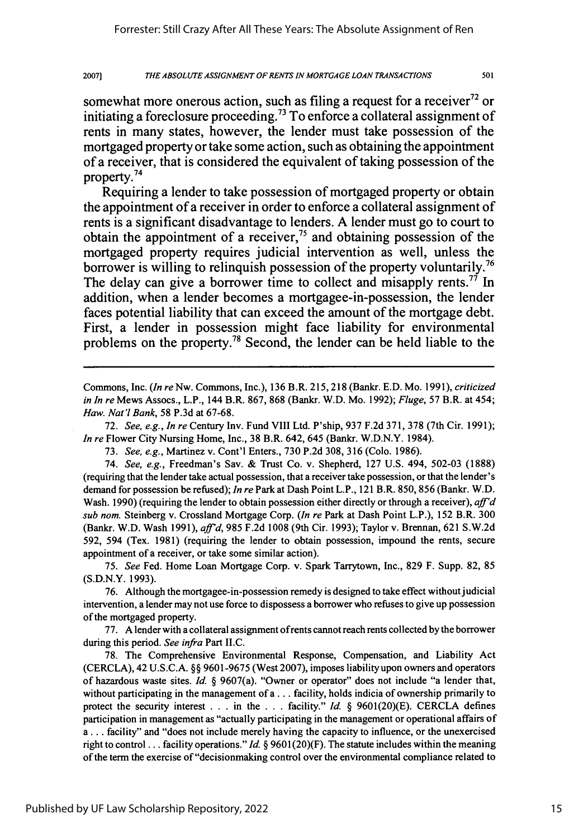501

somewhat more onerous action, such as filing a request for a receiver<sup>72</sup> or initiating a foreclosure proceeding.<sup>73</sup> To enforce a collateral assignment of rents in many states, however, the lender must take possession of the mortgaged property or take some action, such as obtaining the appointment of a receiver, that is considered the equivalent of taking possession of the property.<sup>74</sup>

Requiring a lender to take possession of mortgaged property or obtain the appointment of a receiver in order to enforce a collateral assignment of rents is a significant disadvantage to lenders. **A** lender must go to court to obtain the appointment of a receiver, $7<sup>5</sup>$  and obtaining possession of the mortgaged property requires judicial intervention as well, unless the borrower is willing to relinquish possession of the property voluntarily.<sup>76</sup> The delay can give a borrower time to collect and misapply rents.<sup>77</sup> In addition, when a lender becomes a mortgagee-in-possession, the lender faces potential liability that can exceed the amount of the mortgage debt. First, a lender in possession might face liability for environmental problems on the property.78 Second, the lender can be held liable to the

Commons, Inc. *(In reNw.* Commons, Inc.), 136 B.R. 215,218 (Bankr. E.D. Mo. 1991), *criticized in In re* Mews Assocs., L.P., 144 B.R. 867, 868 (Bankr. W.D. Mo. 1992); *Fluge,* 57 B.R. at 454; *Haw.* Nat'l Bank, 58 P.3d at 67-68.

72. *See, e.g., In re* Century Inv. Fund VIII Ltd. P'ship, 937 F.2d 371, 378 (7th Cir. 1991); *In re* Flower City Nursing Home, Inc., 38 B.R. 642, 645 (Bankr. W.D.N.Y. 1984).

73. *See, e.g.,* Martinez v. Cont'l Enters., 730 P.2d 308, 316 (Colo. 1986).

74. *See, e.g.,* Freedman's Sav. & Trust Co. v. Shepherd, 127 U.S. 494, 502-03 (1888) (requiring that the lender take actual possession, that a receiver take possession, or that the lender's demand for possession be refused); *In re* Park at Dash Point L.P., 121 B.R. 850, 856 (Bankr. W.D. Wash. 1990) (requiring the lender to obtain possession either directly or through a receiver), *aff'd sub nom.* Steinberg v. Crossland Mortgage Corp. *(In re* Park at Dash Point L.P.), 152 B.R. 300 (Bankr. W.D. Wash 1991), *aff'd,* 985 F.2d 1008 (9th Cir. 1993); Taylor v. Brennan, 621 S.W.2d 592, 594 (Tex. 1981) (requiring the lender to obtain possession, impound the rents, secure appointment of a receiver, or take some similar action).

75. *See* Fed. Home Loan Mortgage Corp. v. Spark Tarrytown, Inc., 829 F. Supp. 82, 85 (S.D.N.Y. 1993).

76. Although the mortgagee-in-possession remedy is designed to take effect withoutjudicial intervention, a lender may not use force to dispossess a borrower who refuses to give up possession of the mortgaged property.

77. A lender with a collateral assignment of rents cannot reach rents collected by the borrower during this period. *See infra* Part II.C.

78. The Comprehensive Environmental Response, Compensation, and Liability Act (CERCLA), 42 U.S.C.A. §§ 9601-9675 (West 2007), imposes liability upon owners and operators of hazardous waste sites. *Id.* § 9607(a). "Owner or operator" does not include "a lender that, without participating in the management of a... facility, holds indicia of ownership primarily to protect the security interest . . . in the . . . facility." *Id* § 9601(20)(E). CERCLA defines participation in management as "actually participating in the management or operational affairs of **a...** facility" and "does not include merely having the capacity to influence, or the unexercised right to control.., facility operations." *Id.* § 9601(20)(F). The statute includes within the meaning of the term the exercise of"decisionmaking control over the environmental compliance related to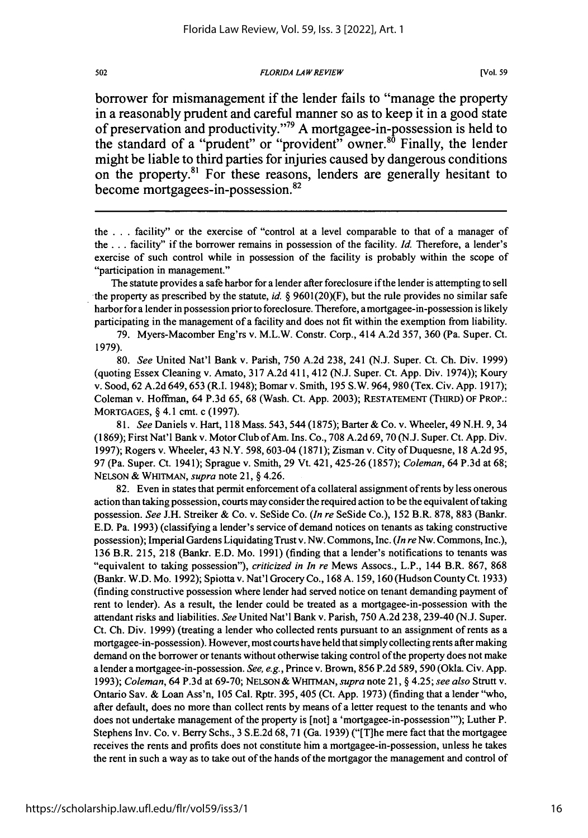### *FLORIDA LAWREVIEW*

borrower for mismanagement if the lender fails to "manage the property in a reasonably prudent and careful manner so as to keep it in a good state of preservation and productivity."<sup>79</sup> A mortgagee-in-possession is held to the standard of a "prudent" or "provident" owner.<sup>80</sup> Finally, the lender might be liable to third parties for injuries caused **by** dangerous conditions on the property.<sup>81</sup> For these reasons, lenders are generally hesitant to become mortgagees-in-possession.<sup>82</sup>

the .. **.**facility" or the exercise of "control at a level comparable to that of a manager of the **...** facility" if the borrower remains in possession of the facility. *Id.* Therefore, a lender's exercise of such control while in possession of the facility is probably within the scope of "participation in management."

The statute provides a safe harbor for a lender after foreclosure if the lender is attempting to sell the property as prescribed by the statute, id.  $\S$  9601(20)(F), but the rule provides no similar safe harbor for a lender in possession prior to foreclosure. Therefore, a mortgagee-in-possession is likely participating in the management of a facility and does not fit within the exemption from liability.

79. Myers-Macomber Eng'rs v. M.L.W. Constr. Corp., 414 A.2d 357, 360 (Pa. Super. Ct. 1979).

80. *See* United Nat'l Bank v. Parish, 750 A.2d 238, 241 (N.J. Super. Ct. Ch. Div. 1999) (quoting Essex Cleaning v. Amato, 317 A.2d 411, 412 (N.J. Super. Ct. App. Div. 1974)); Koury v. Sood, 62 A.2d 649, 653 (R.I. 1948); Bomar v. Smith, 195 S.W. 964, 980 (Tex. Civ. App. 1917); Coleman v. Hoffman, 64 P.3d 65, 68 (Wash. Ct. App. 2003); **RESTATEMENT** (THIRD) OF PROP.: **MORTGAGES,** § 4.1 cmt. c (1997).

*81. See* Daniels v. Hart, 118 Mass. 543,544 (1875); Barter & Co. v. Wheeler, 49 N.H. 9, 34 (1869); First Nat'l Bank v. Motor Club of Am. Ins. Co., 708 A.2d 69, 70 (N.J. Super. Ct. App. Div. 1997); Rogers v. Wheeler, 43 N.Y. 598, 603-04 (1871); Zisman v. City of Duquesne, 18 A.2d 95, 97 (Pa. Super. Ct. 1941); Sprague v. Smith, 29 Vt. 421, 425-26 (1857); *Coleman,* 64 P.3d at 68; **NELSON** & WHITMAN, *supra* note 21, § 4.26.

82. Even in states that permit enforcement of a collateral assignment of rents by less onerous action than taking possession, courts may consider the required action to be the equivalent of taking possession. *See* J.H. Streiker & Co. v. SeSide Co. *(In re* SeSide Co.), 152 B.R. 878, 883 (Bankr. E.D. Pa. 1993) (classifying a lender's service of demand notices on tenants as taking constructive possession); Imperial Gardens Liquidating Trust v. Nw. Commons, Inc. *(In re* Nw. Commons, Inc.), 136 B.R. 215, 218 (Bankr. E.D. Mo. 1991) (finding that a lender's notifications to tenants was "equivalent to taking possession"), *criticized in In re* Mews Assocs., L.P., 144 B.R. 867, 868 (Bankr. W.D. Mo. 1992); Spiotta v. Nat'l Grocery Co., 168 A. 159, 160 (Hudson County Ct. 1933) (finding constructive possession where lender had served notice on tenant demanding payment of rent to lender). As a result, the lender could be treated as a mortgagee-in-possession with the attendant risks and liabilities. *See* United Nat'l Bank v. Parish, 750 A.2d 238, 239-40 (N.J. Super. Ct. Ch. Div. 1999) (treating a lender who collected rents pursuant to an assignment of rents as a mortgagee-in-possession). However, most courts have held that simply collecting rents after making demand on the borrower or tenants without otherwise taking control of the property does not make a lender a mortgagee-in-possession. *See, e.g.,* Prince v. Brown, 856 P.2d 589, 590 (Okla. Civ. App. 1993); *Coleman,* 64 P.3d at 69-70; NELSON **&** WHITMAN, *supra* note **21,** § 4.25; *see also* Strutt v. Ontario Say. & Loan Ass'n, 105 Cal. Rptr. 395, 405 (Ct. App. 1973) (finding that a lender "who, after default, does no more than collect rents by means of a letter request to the tenants and who does not undertake management of the property is [not] a 'mortgagee-in-possession"'); Luther P. Stephens Inv. Co. v. Berry Schs., 3 S.E.2d 68, 71 (Ga. 1939) ("[T]he mere fact that the mortgagee receives the rents and profits does not constitute him a mortgagee-in-possession, unless he takes the rent in such a way as to take out of the hands of the mortgagor the management and control of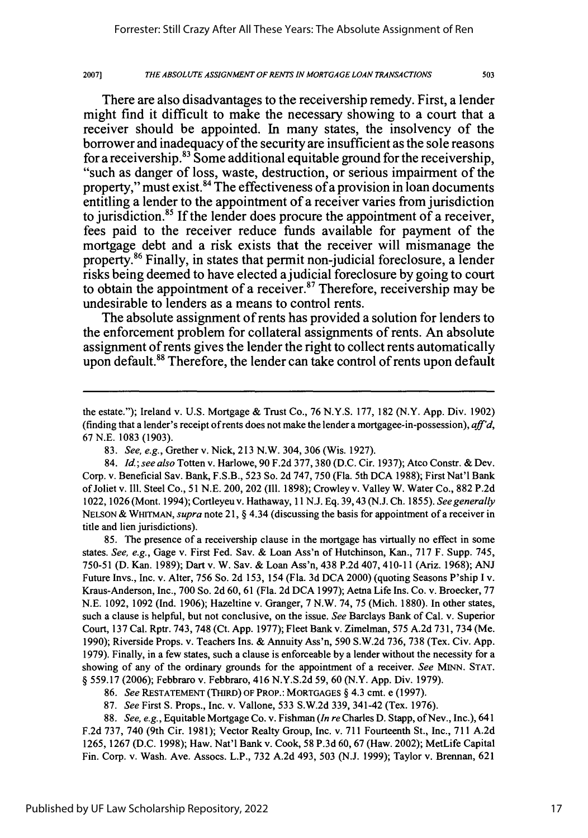20071

There are also disadvantages to the receivership remedy. First, a lender might find it difficult to make the necessary showing to a court that a receiver should be appointed. In many states, the insolvency of the borrower and inadequacy of the security are insufficient as the sole reasons for a receivership.<sup>83</sup> Some additional equitable ground for the receivership, "such as danger of loss, waste, destruction, or serious impairment of the property," must exist.<sup>84</sup> The effectiveness of a provision in loan documents entitling a lender to the appointment of a receiver varies from jurisdiction to jurisdiction. <sup>5</sup>**If** the lender does procure the appointment of a receiver, fees paid to the receiver reduce **funds** available for payment of the mortgage debt and a risk exists that the receiver will mismanage the property.86 Finally, in states that permit non-judicial foreclosure, a lender risks being deemed to have elected ajudicial foreclosure **by** going to court to obtain the appointment of a receiver.<sup>87</sup> Therefore, receivership may be undesirable to lenders as a means to control rents.

The absolute assignment of rents has provided a solution for lenders to the enforcement problem for collateral assignments of rents. An absolute assignment of rents gives the lender the right to collect rents automatically upon default.<sup>88</sup> Therefore, the lender can take control of rents upon default

85. The presence of a receivership clause in the mortgage has virtually no effect in some states. *See, e.g.,* Gage v. First Fed. Sav. & Loan Ass'n of Hutchinson, Kan., 717 F. Supp. 745, 750-51 (D. Kan. 1989); Dart v. W. Sav. & Loan Ass'n, 438 P.2d 407, 410-11 (Ariz. 1968); ANJ Future Invs., Inc. v. Alter, 756 So. 2d 153, 154 (Fla. 3d DCA 2000) (quoting Seasons P'ship I v. Kraus-Anderson, Inc., 700 So. 2d **60,** 61 (Fla. 2d DCA 1997); Aetna Life Ins. Co. v. Broecker, 77 N.E. 1092, 1092 (Ind. 1906); Hazeltine v. Granger, 7 N.W. 74, 75 (Mich. 1880). In other states, such a clause is helpful, but not conclusive, on the issue. *See* Barclays Bank of Cal. v. Superior Court, 137 Cal. Rptr. 743, 748 (Ct. App. 1977); Fleet Bank v. Zimelman, 575 A.2d 731, 734 (Me. 1990); Riverside Props. v. Teachers Ins. & Annuity Ass'n, 590 S.W.2d 736, 738 (Tex. Civ. App. 1979). Finally, in a few states, such a clause is enforceable by a lender without the necessity for a showing of any of the ordinary grounds for the appointment of a receiver. *See* MINN. STAT. § 559.17 (2006); Febbraro v. Febbraro, 416 N.Y.S.2d 59, 60 (N.Y. App. Div. 1979).

88. *See, e.g., Equitable Mortgage Co. v. Fishman <i>(In re Charles D. Stapp, of Nev., Inc.), 641* F.2d 737, 740 (9th Cir. 1981); Vector Realty Group, Inc. v. 711 Fourteenth St., Inc., 711 A.2d 1265, 1267 (D.C. 1998); Haw. Nat'l Bank v. Cook, 58 P.3d 60,67 (Haw. 2002); MetLife Capital Fin. Corp. v. Wash. Ave. Assocs. L.P., 732 A.2d 493, 503 (N.J. 1999); Taylor v. Brennan, 621

the estate."); Ireland v. U.S. Mortgage & Trust Co., 76 N.Y.S. 177, 182 (N.Y. App. Div. 1902) (finding that a lender's receipt of rents does not make the lender a mortgagee-in-possession), *aff'd,* 67 N.E. 1083 (1903).

<sup>83.</sup> *See, e.g.,* Grether v. Nick, 213 N.W. 304, 306 (Wis. 1927).

<sup>84.</sup> *Id.; see also* Totten v. Harlowe, 90 F.2d 377, 380 (D.C. Cir. 1937); Atco Constr. & Dev. Corp. v. Beneficial Say. Bank, F.S.B., 523 So. 2d 747, 750 (Fla. 5th DCA 1988); First Nat'l Bank of Joliet v. Ill. Steel Co., 51 N.E. 200, 202 (Ill. 1898); Crowley v. Valley W. Water Co., 882 P.2d 1022, 1026 (Mont. 1994); Cortleyeu v. Hathaway, 11 N.J. Eq. 39,43 (N.J. Ch. 1855). *See generally* NELSON & WHITMAN, *supra* note 21, § 4.34 (discussing the basis for appointment of a receiver in title and lien jurisdictions).

<sup>86.</sup> *See* **RESTATEMENT** (THIRD) OF PROP.: **MORTGAGES** § 4.3 cmt. e (1997).

<sup>87.</sup> *See* First S. Props., Inc. v. Vallone, 533 S.W.2d 339, 341-42 (Tex. 1976).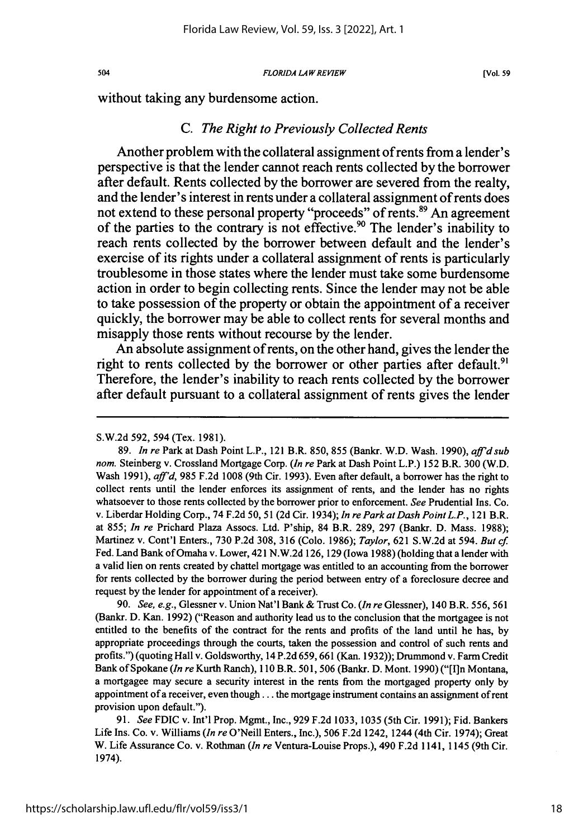#### **FLORIDA LAW REVIEW**

without taking any burdensome action.

# *C. The Right to Previously Collected Rents*

Another problem with the collateral assignment of rents from a lender's perspective is that the lender cannot reach rents collected **by** the borrower after default. Rents collected **by** the borrower are severed from the realty, and the lender's interest in rents under a collateral assignment of rents does not extend to these personal property "proceeds" of rents.<sup>89</sup> An agreement of the parties to the contrary is not effective.<sup>90</sup> The lender's inability to reach rents collected **by** the borrower between default and the lender's exercise of its rights under a collateral assignment of rents is particularly troublesome in those states where the lender must take some burdensome action in order to begin collecting rents. Since the lender may not be able to take possession of the property or obtain the appointment of a receiver quickly, the borrower may be able to collect rents for several months and misapply those rents without recourse **by** the lender.

An absolute assignment of rents, on the other hand, gives the lender the right to rents collected by the borrower or other parties after default.<sup>91</sup> Therefore, the lender's inability to reach rents collected **by** the borrower after default pursuant to a collateral assignment of rents gives the lender

90. *See, e.g.,* Glessner v. Union Nat'l Bank & Trust Co. *(In re* Glessner), 140 B.R. 556, 561 (Bankr. D. Kan. 1992) ("Reason and authority lead us to the conclusion that the mortgagee is not entitled to the benefits of the contract for the rents and profits of the land until he has, **by** appropriate proceedings through the courts, taken the possession and control of such rents and profits.") (quoting Hall v. Goldsworthy, 14 P.2d 659,661 (Kan. 1932)); Drummond v. Farm Credit Bank of Spokane *(In re* Kurth Ranch), 110 B.R. 501,506 (Bankr. D. Mont. 1990) ("[I]n Montana, a mortgagee may secure a security interest in the rents from the mortgaged property only **by** appointment of a receiver, even though.., the mortgage instrument contains an assignment of rent provision upon default.").

91. *See* FDIC v. Int'l Prop. Mgmt., Inc., 929 F.2d 1033,1035 (5th Cir. 1991); Fid. Bankers Life Ins. Co. v. Williams *(In re* O'Neill Enters., Inc.), 506 F.2d 1242, 1244 (4th Cir. 1974); Great W. Life Assurance Co. v. Rothman *(In re* Ventura-Louise Props.), 490 F.2d 1141, 1145 (9th Cir. 1974).

S.W.2d 592, 594 (Tex. 1981).

<sup>89.</sup> *In re* Park at Dash Point L.P., 121 B.R. 850, 855 (Bankr. W.D. Wash. 1990), *affidsub nom.* Steinberg v. Crossland Mortgage Corp. *(In re* Park at Dash Point L.P.) 152 B.R. 300 (W.D. Wash 1991), *aff'd,* 985 F.2d 1008 (9th Cir. 1993). Even after default, a borrower has the right to collect rents until the lender enforces its assignment of rents, and the lender has no rights whatsoever to those rents collected by the borrower prior to enforcement. *See* Prudential Ins. Co. v. Liberdar Holding Corp., 74 F.2d 50,51 (2d Cir. 1934); *In re Park at Dash Point L.P.,* 121 B.R. at 855; *In re* Prichard Plaza Assocs. Ltd. P'ship, 84 B.R. 289, 297 (Bankr. D. Mass. 1988); Martinez v. Cont'l Enters., 730 P.2d 308, 316 (Colo. 1986); *Taylor,* 621 S.W.2d at 594. *But cf* Fed. Land Bank of Omaha v. Lower, 421 N.W.2d 126, 129 (Iowa 1988) (holding that a lender with a valid lien on rents created by chattel mortgage was entitled to an accounting from the borrower for rents collected by the borrower during the period between entry of a foreclosure decree and request by the lender for appointment of a receiver).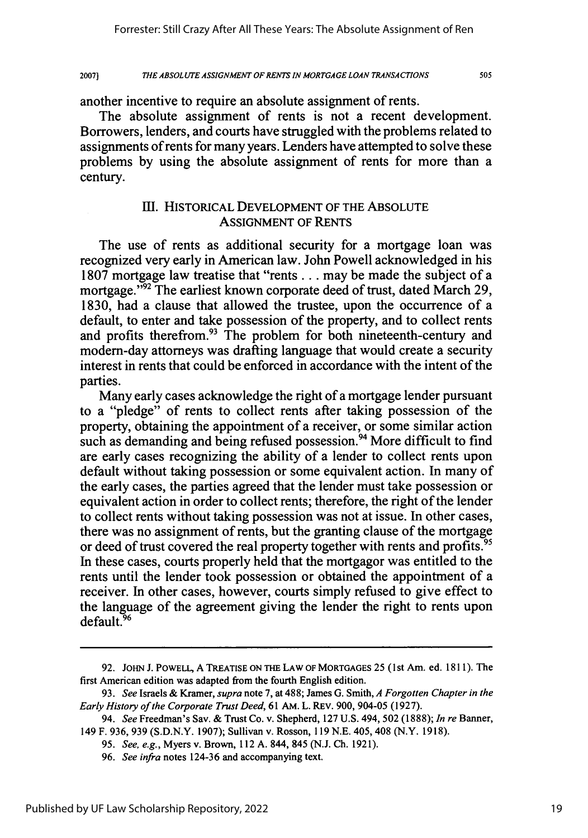505

another incentive to require an absolute assignment of rents.

The absolute assignment of rents is not a recent development. Borrowers, lenders, and courts have struggled with the problems related to assignments of rents for many years. Lenders have attempted to solve these problems by using the absolute assignment of rents for more than a century.

# **Elf.** HISTORICAL DEVELOPMENT OF THE ABSOLUTE ASSIGNMENT OF RENTS

The use of rents as additional security for a mortgage loan was recognized very early in American law. John Powell acknowledged in his 1807 mortgage law treatise that "rents **...** may be made the subject of a mortgage."<sup>92</sup> The earliest known corporate deed of trust, dated March 29, 1830, had a clause that allowed the trustee, upon the occurrence of a default, to enter and take possession of the property, and to collect rents and profits therefrom.<sup>93</sup> The problem for both nineteenth-century and modem-day attorneys was drafting language that would create a security interest in rents that could be enforced in accordance with the intent of the parties.

Many early cases acknowledge the right of a mortgage lender pursuant to a "pledge" of rents to collect rents after taking possession of the property, obtaining the appointment of a receiver, or some similar action such as demanding and being refused possession.<sup>94</sup> More difficult to find are early cases recognizing the ability of a lender to collect rents upon default without taking possession or some equivalent action. In many of the early cases, the parties agreed that the lender must take possession or equivalent action in order to collect rents; therefore, the right of the lender to collect rents without taking possession was not at issue. In other cases, there was no assignment of rents, but the granting clause of the mortgage or deed of trust covered the real property together with rents and profits.<sup>95</sup> In these cases, courts properly held that the mortgagor was entitled to the rents until the lender took possession or obtained the appointment of a receiver. In other cases, however, courts simply refused to give effect to the language of the agreement giving the lender the right to rents upon default.<sup>96</sup>

<sup>92.</sup> JOHN J. POWELL, A TREATISE **ON** THE LAW **OF** MORTGAGES 25 (1 st Am. ed. 1811). The first American edition was adapted from the fourth English edition.

<sup>93.</sup> *See* Israels & Kramer, *supra* note **7,** at **488;** James G. Smith, *A Forgotten Chapter in the Early History of the Corporate Trust Deed,* **61** AM. L. REv. 900, 904-05 (1927).

<sup>94.</sup> *See* Freedman's Sav. & Trust Co. v. Shepherd, **127** U.S. 494, 502 (1888); *In re* Banner, 149 F. 936, **939** (S.D.N.Y. 1907); Sullivan v. Rosson, **119** N.E. 405, 408 (N.Y. **1918).**

<sup>95.</sup> *See, e.g.,* Myers v. Brown, **112** A. 844, 845 (N.J. Ch. 1921).

<sup>96.</sup> *See infra* notes 124-36 and accompanying text.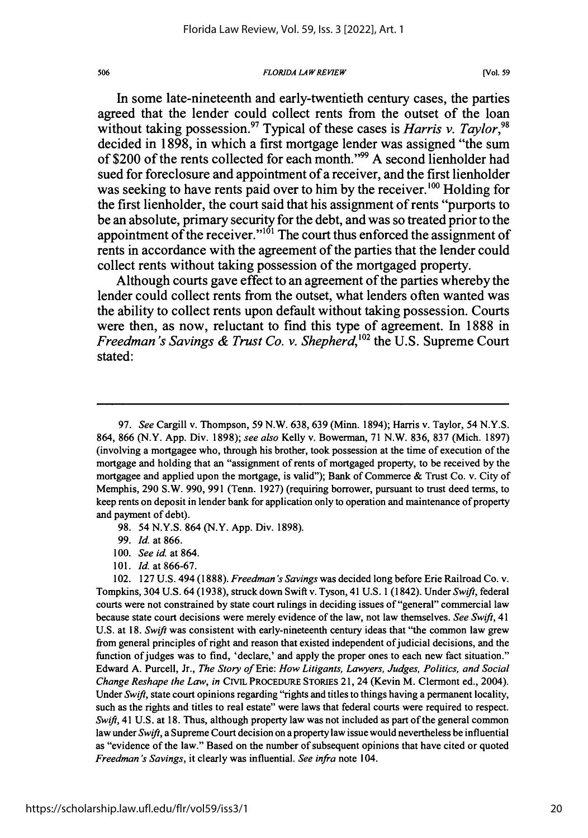#### *FLORIDA LAW REVIEW*

In some late-nineteenth and early-twentieth century cases, the parties agreed that the lender could collect rents from the outset of the loan without taking possession.<sup>97</sup> Typical of these cases is *Harris v. Taylor*,<sup>91</sup> decided in **1898,** in which a first mortgage lender was assigned "the sum of \$200 of the rents collected for each month." <sup>99</sup>**A** second lienholder had sued for foreclosure and appointment of a receiver, and the first lienholder was seeking to have rents paid over to him **by** the receiver.'00 Holding for the first lienholder, the court said that his assignment of rents "purports to be an absolute, primary security for the debt, and was so treated prior to the appointment of the receiver." $101$  The court thus enforced the assignment of rents in accordance with the agreement of the parties that the lender could collect rents without taking possession of the mortgaged property.

Although courts gave effect to an agreement of the parties whereby the lender could collect rents from the outset, what lenders often wanted was the ability to collect rents upon default without taking possession. Courts were then, as now, reluctant to find this type of agreement. In **1888** in *Freedman's Savings & Trust Co. v. Shepherd*, <sup>102</sup> the U.S. Supreme Court stated:

- 98. 54 N.Y.S. 864 (N.Y. App. Div. 1898).
- 99. *Id.* at 866.
- 100. *Seeid.* at 864.
- 101. *Id.* at 866-67.

102. 127 U.S. 494 (1888). *Freedman's Savings* was decided long before Erie Railroad Co. v. Tompkins, 304 U.S. 64 (1938), struck down Swift v. Tyson, 41 U.S. 1 (1842). Under *Swift,* federal courts were not constrained by state court rulings in deciding issues of "general" commercial law because state court decisions were merely evidence of the law, not law themselves. *See Swift,* 41 U.S. at 18. *Swift* was consistent with early-nineteenth century ideas that "the common law grew from general principles of right and reason that existed independent of judicial decisions, and the function of judges was to find, 'declare,' and apply the proper ones to each new fact situation." Edward A. Purcell, Jr., *The Story of* Erie: *How Litigants, Lawyers, Judges, Politics, and Social Change Reshape the Law, in* CiviL PROCEDURE STORIES 21, 24 (Kevin M. Clermont ed., 2004). Under *Swift,* state court opinions regarding "rights and titles to things having a permanent locality, such as the rights and titles to real estate" were laws that federal courts were required to respect. *Swift,* 41 U.S. at 18. Thus, although property law was not included as part of the general common law under *Swift,* a Supreme Court decision on a property law issue would nevertheless be influential as "evidence of the law." Based on the number of subsequent opinions that have cited or quoted *Freedman's Savings,* it clearly was influential. *See infra* note 104.

<sup>97.</sup> *See* Cargill v. Thompson, 59 N.W. 638, 639 (Minn. 1894); Harris v. Taylor, 54 N.Y.S. 864, 866 (N.Y. App. Div. 1898); *see also* Kelly v. Bowerman, 71 N.W. 836, 837 (Mich. 1897) (involving a mortgagee who, through his brother, took possession at the time of execution of the mortgage and holding that an "assignment of rents of mortgaged property, to be received by the mortgagee and applied upon the mortgage, is valid"); Bank of Commerce & Trust Co. v. City of Memphis, 290 S.W. 990, 991 (Tenn. 1927) (requiring borrower, pursuant to trust deed terms, to keep rents on deposit in lender bank for application only to operation and maintenance of property and payment of debt).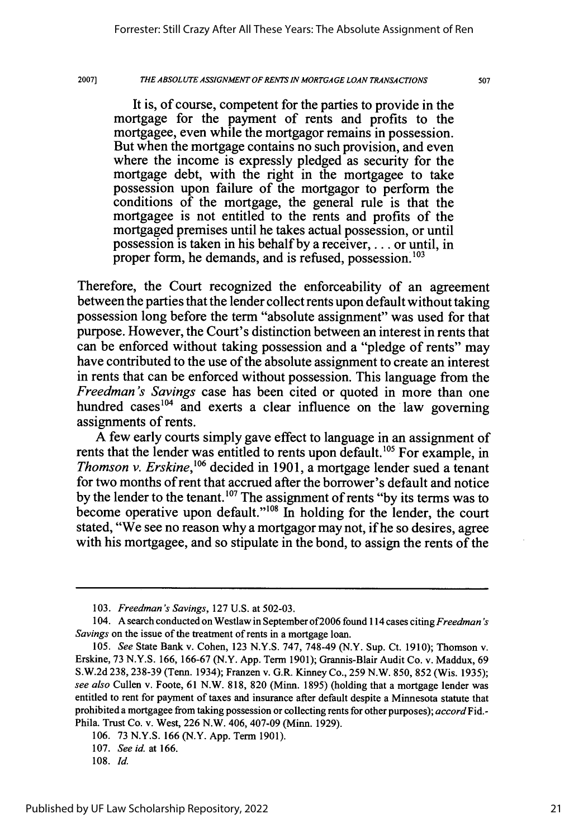2007]

*THE ABSOLUTE ASSIGNMENT OF RENTS IN MORTGAGE LOAN TRANSACTIONS*

It is, of course, competent for the parties to provide in the mortgage for the payment of rents and profits to the mortgagee, even while the mortgagor remains in possession. But when the mortgage contains no such provision, and even where the income is expressly pledged as security for the mortgage debt, with the right in the mortgagee to take possession upon failure of the mortgagor to perform the conditions of the mortgage, the general rule is that the mortgagee is not entitled to the rents and profits of the mortgaged premises until he takes actual possession, or until possession is taken in his behalf by a receiver,.. **.** or until, in proper form, he demands, and is refused, possession.<sup>103</sup>

Therefore, the Court recognized the enforceability of an agreement between the parties that the lender collect rents upon default without taking possession long before the term "absolute assignment" was used for that purpose. However, the Court's distinction between an interest in rents that can be enforced without taking possession and a "pledge of rents" may have contributed to the use of the absolute assignment to create an interest in rents that can be enforced without possession. This language from the *Freedman's Savings* case has been cited or quoted in more than one hundred cases<sup>104</sup> and exerts a clear influence on the law governing assignments of rents.

A few early courts simply gave effect to language in an assignment of rents that the lender was entitled to rents upon default.'05 For example, in *Thomson v. Erskine,1 <sup>1</sup>6* decided in 1901, a mortgage lender sued a tenant for two months of rent that accrued after the borrower's default and notice by the lender to the tenant.<sup>107</sup> The assignment of rents "by its terms was to become operative upon default."<sup>108</sup> In holding for the lender, the court stated, "We see no reason why a mortgagor may not, if he so desires, agree with his mortgagee, and so stipulate in the bond, to assign the rents of the

<sup>103.</sup> *Freedman's Savings,* 127 U.S. at 502-03.

<sup>104.</sup> A search conducted on Westlaw in September of2006 found **114** cases *citing Freedman 's Savings* on the issue of the treatment of rents in a mortgage loan.

*<sup>105.</sup> See* State Bank v. Cohen, 123 N.Y.S. 747, 748-49 (N.Y. Sup. Ct. 1910); Thomson v. Erskine, 73 N.Y.S. 166, 166-67 (N.Y. App. Term 1901); Grannis-Blair Audit Co. v. Maddux, 69 S.W.2d 238, 238-39 (Tenn. 1934); Franzen v. G.R. Kinney Co., 259 N.W. 850, 852 (Wis. 1935); *see also* Cullen v. Foote, 61 N.W. 818, 820 (Minn. 1895) (holding that a mortgage lender was entitled to rent for payment of taxes and insurance after default despite a Minnesota statute that prohibited a mortgagee from taking possession or collecting rents for other purposes); *accord* Fid.- Phila. Trust Co. v. West, 226 N.W. 406, 407-09 (Minn. 1929).

<sup>106. 73</sup> N.Y.S. 166 (N.Y. App. Term 1901).

<sup>107.</sup> *See id.* at 166.

<sup>108.</sup> Id.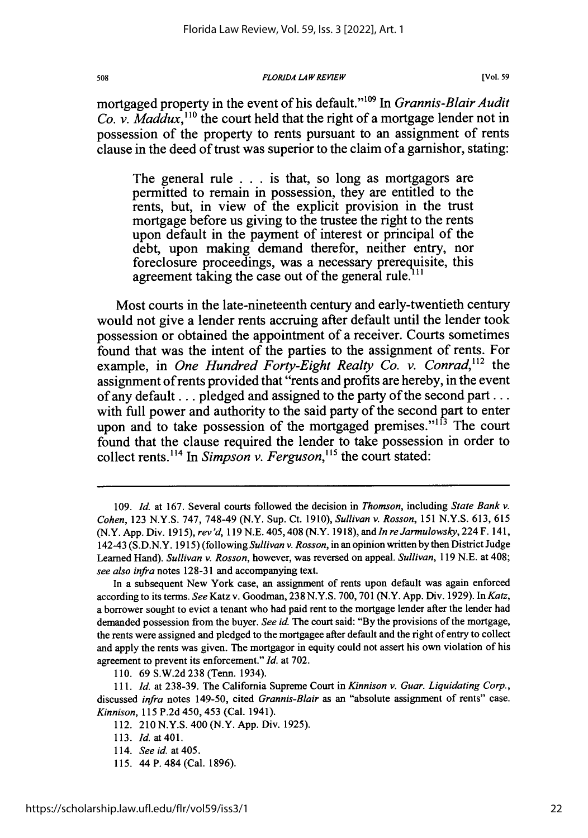#### *FLORIDA LAW REVIEW*

**[Vol. 59**

mortgaged property in the event of his default."<sup>109</sup> In *Grannis-Blair Audit Co. v. Maddux*,<sup>110</sup> the court held that the right of a mortgage lender not in possession of the property to rents pursuant to an assignment of rents clause in the deed of trust was superior to the claim of a garnishor, stating:

The general rule . .. is that, so long as mortgagors are permitted to remain in possession, they are entitled to the rents, but, in view of the explicit provision in the trust mortgage before us giving to the trustee the right to the rents upon default in the payment of interest or principal of the debt, upon making demand therefor, neither entry, nor foreclosure proceedings, was a necessary prerequisite, this agreement taking the case out of the general rule.<sup>111</sup>

Most courts in the late-nineteenth century and early-twentieth century would not give a lender rents accruing after default until the lender took possession or obtained the appointment of a receiver. Courts sometimes found that was the intent of the parties to the assignment of rents. For example, in *One Hundred Forty-Eight Realty Co. v. Conrad*,<sup>112</sup> the assignment of rents provided that "rents and profits are hereby, in the event of any default.., pledged and assigned to the party of the second part... with full power and authority to the said party of the second part to enter upon and to take possession of the mortgaged premises."<sup>13</sup> The court found that the clause required the lender to take possession in order to collect rents.<sup>114</sup> In *Simpson v. Ferguson*,<sup>115</sup> the court stated:

110. 69 S.W.2d 238 (Tenn. 1934).

<sup>109.</sup> Id. at 167. Several courts followed the decision in *Thomson,* including *State Bank v. Cohen,* 123 N.Y.S. 747, 748-49 (N.Y. Sup. Ct. 1910), *Sullivan v. Rosson,* 151 N.Y.S. 613, 615 (N.Y. App. Div. 1915), *rev 'd,* 119 N.E. 405,408 (N.Y. 1918), and *In reJarmulowsky,* 224 F. 141, 142-43 (S.D.N.Y. 1915) (following *Sullivan v. Rosson,* in an opinion written by then District Judge Learned Hand). *Sullivan v. Rosson,* however, was reversed on appeal. *Sullivan,* 119 N.E. at 408; *see also infra* notes 128-31 and accompanying text.

In a subsequent New York case, an assignment of rents upon default was again enforced according to its terms. *See* Katz v. Goodman, 238 N.Y.S. 700, 701 (N.Y. App. Div. 1929). In *Katz,* a borrower sought to evict a tenant who had paid rent to the mortgage lender after the lender had demanded possession from the buyer. *See* id. The court said: "By the provisions of the mortgage, the rents were assigned and pledged to the mortgagee after default and the right of entry to collect and apply the rents was given. The mortgagor in equity could not assert his own violation of his agreement to prevent its enforcement." *Id.* at 702.

*<sup>111.</sup>* Id. at 238-39. The California Supreme Court in *Kinnison v. Guar. Liquidating Corp.,* discussed *infra* notes 149-50, cited *Grannis-Blair* as an "absolute assignment of rents" case. *Kinnison,* **115 P.2d** 450, 453 (Cal. 1941).

<sup>112. 210</sup> **N.Y.S.** 400 (N.Y. **App.** Div. **1925).**

**<sup>113.</sup>** *Id.* **at401.**

**<sup>114.</sup>** *See id.* at 405.

**<sup>115.</sup>** 44 P. 484 (Cal. **1896).**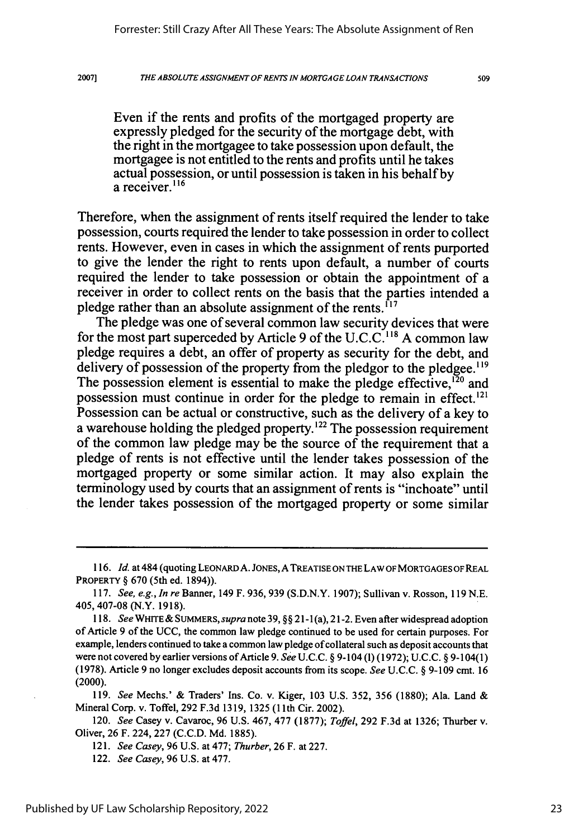509

Even if the rents and profits of the mortgaged property are expressly pledged for the security of the mortgage debt, with the right in the mortgagee to take possession upon default, the mortgagee is not entitled to the rents and profits until he takes actual possession, or until possession is taken in his behalf by a receiver.<sup>116</sup>

Therefore, when the assignment of rents itself required the lender to take possession, courts required the lender to take possession in order to collect rents. However, even in cases in which the assignment of rents purported to give the lender the right to rents upon default, a number of courts required the lender to take possession or obtain the appointment of a receiver in order to collect rents on the basis that the parties intended a pledge rather than an absolute assignment of the rents.  $\frac{1}{17}$ 

The pledge was one of several common law security devices that were for the most part superceded by Article 9 of the U.C.C.<sup>118</sup> A common law pledge requires a debt, an offer of property as security for the debt, and delivery of possession of the property from the pledgor to the pledgee.<sup>119</sup> The possession element is essential to make the pledge effective,<sup>120</sup> and possession must continue in order for the pledge to remain in effect.<sup>121</sup> Possession can be actual or constructive, such as the delivery of a key to a warehouse holding the pledged property.<sup>122</sup> The possession requirement of the common law pledge may be the source of the requirement that a pledge of rents is not effective until the lender takes possession of the mortgaged property or some similar action. It may also explain the terminology used by courts that an assignment of rents is "inchoate" until the lender takes possession of the mortgaged property or some similar

119. *See* Mechs.' & Traders' Ins. Co. v. Kiger, **103** U.S. 352, 356 (1880); Ala. Land & Mineral Corp. v. Toffel, 292 F.3d 1319, 1325 (1lth Cir. 2002).

120. *See* Casey v. Cavaroc, 96 U.S. 467, **477 (1877);** *Toffel,* 292 **F.3d** at 1326; Thurber v. Oliver, 26 F. 224, 227 (C.C.D. Md. **1885).**

<sup>116.</sup> Id. at 484 (quoting LEONARD A. JONES, A TREATISE ON THE LAW OF MORTGAGES OF REAL PROPERTY § **670** (5th ed. 1894)).

<sup>117.</sup> *See, e.g., In re* Banner, 149 F. 936, 939 (S.D.N.Y. 1907); Sullivan v. Rosson, 119 N.E. 405,407-08 (N.Y. 1918).

*<sup>118.</sup> See* WHITE& SUMMERS, *supra* note 39, §§ 2 1-1(a), 21-2. Even after widespread adoption of Article 9 of the UCC, the common law pledge continued to be used for certain purposes. For example, lenders continued to take a common law pledge of collateral such as deposit accounts that were not covered by earlier versions of Article 9. *See* U.C.C. § 9-104 (1) (1972); U.C.C. § 9-104(1) (1978). Article 9 no longer excludes deposit accounts from its scope. *See* U.C.C. § 9-109 cmt. 16 (2000).

<sup>121.</sup> *See Casey,* 96 U.S. at 477; *Thurber,* 26 F. at 227.

<sup>122.</sup> *See Casey,* 96 U.S. at 477.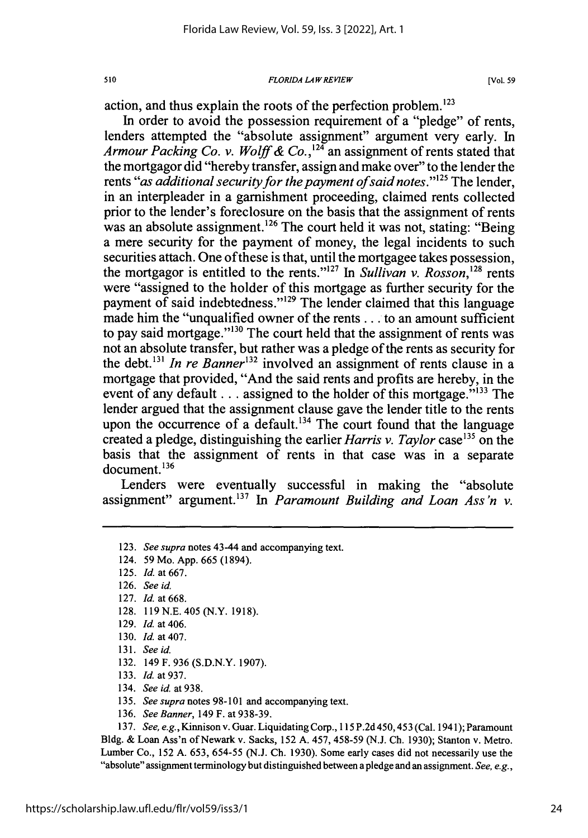#### *FLORIDA LAWREVIEW*

**[Vol. 59**

action, and thus explain the roots of the perfection problem.'23

In order to avoid the possession requirement of a "pledge" of rents, lenders attempted the "absolute assignment" argument very early. In *Armour Packing Co. v. Wolff & Co.*,<sup>124</sup> an assignment of rents stated that the mortgagor did "hereby transfer, assign and make over" to the lender the rents "*as additional security for the payment of said notes*."<sup>125</sup> The lender, in an interpleader in a garnishment proceeding, claimed rents collected prior to the lender's foreclosure on the basis that the assignment of rents was an absolute assignment.<sup>126</sup> The court held it was not, stating: "Being" a mere security for the payment of money, the legal incidents to such securities attach. One of these is that, until the mortgagee takes possession, the mortgagor is entitled to the rents."<sup>127</sup> In *Sullivan v. Rosson*,<sup>128</sup> rents were "assigned to the holder of this mortgage as further security for the payment of said indebtedness."<sup> $129$ </sup> The lender claimed that this language made him the "unqualified owner of the rents.., to an amount sufficient to pay said mortgage."<sup>130</sup> The court held that the assignment of rents was not an absolute transfer, but rather was a pledge of the rents as security for the debt.<sup>131</sup> In re Banner<sup>132</sup> involved an assignment of rents clause in a mortgage that provided, "And the said rents and profits are hereby, in the event of any default... assigned to the holder of this mortgage." $133$  The lender argued that the assignment clause gave the lender title to the rents upon the occurrence of a default.<sup>134</sup> The court found that the language created a pledge, distinguishing the earlier *Harris v. Taylor* case'35 on the basis that the assignment of rents in that case was in a separate document.<sup>136</sup>

Lenders were eventually successful in making the "absolute assignment" argument.<sup>137</sup> In *Paramount Building and Loan Ass'n v.* 

- 128. **119N.E.** 405 (N.Y. 1918).
- 129. Id. at 406.
- 130. *Id.* at 407.
- 131. *See* id.
- 132. 149 F. 936 (S.D.N.Y. 1907).
- 133. Id. at 937.
- 134. *See id.* at 938.
- 135. *See supra* notes 98-101 and accompanying text.
- 136. *See Banner,* 149 F. at 938-39.

137. *See, e.g.,* Kinnison v. Guar. Liquidating Corp., 115 P.2d 450,453 (Cal. 1941); Paramount Bldg. & Loan Ass'n of Newark v. Sacks, 152 A. 457, 458-59 (N.J. **Ch.** 1930); Stanton v. Metro. Lumber Co., 152 A. 653, 654-55 (N.J. **Ch.** 1930). Some early cases did not necessarily use the "absolute" assignment terminology but distinguished between a pledge and an assignment. *See, e.g.,*

<sup>123.</sup> *See supra* notes 43-44 and accompanying text.

<sup>124. 59</sup> Mo. App. 665 (1894).

<sup>125.</sup> *Id* at 667.

<sup>126.</sup> *See* id.

<sup>127.</sup> *Id* at 668.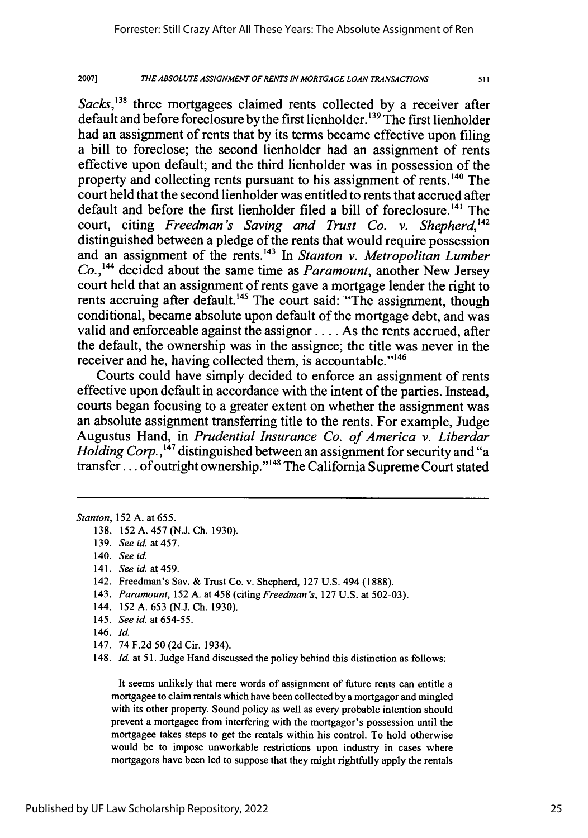*THE ABSOLUTE ASSIGNMENT OF RENTS IN MORTGAGE LOAN TRANSACTIONS* **2007]**

*Sacks*,<sup>138</sup> three mortgagees claimed rents collected by a receiver after default and before foreclosure by the first lienholder. **' <sup>39</sup>**The first lienholder had an assignment of rents that by its terms became effective upon filing a bill to foreclose; the second lienholder had an assignment of rents effective upon default; and the third lienholder was in possession of the property and collecting rents pursuant to his assignment of rents.140 The court held that the second lienholder was entitled to rents that accrued after default and before the first lienholder filed a bill of foreclosure.<sup>141</sup> The court, citing *Freedman's Saving and Trust Co. v. Shepherd,142* distinguished between a pledge of the rents that would require possession and an assignment of the rents.'43 In *Stanton v. Metropolitan Lumber Co.,'"* decided about the same time as *Paramount,* another New Jersey court held that an assignment of rents gave a mortgage lender the right to rents accruing after default.<sup>145</sup> The court said: "The assignment, though conditional, became absolute upon default of the mortgage debt, and was valid and enforceable against the assignor .... As the rents accrued, after the default, the ownership was in the assignee; the title was never in the receiver and he, having collected them, is accountable."<sup>146</sup>

Courts could have simply decided to enforce an assignment of rents effective upon default in accordance with the intent of the parties. Instead, courts began focusing to a greater extent on whether the assignment was an absolute assignment transferring title to the rents. For example, Judge Augustus Hand, in *Prudential Insurance Co. of America v. Liberdar Holding Corp.*,<sup>147</sup> distinguished between an assignment for security and "a transfer... of outright ownership.' 148 The California Supreme Court stated

141. *See id.* at 459.

- 143. *Paramount,* 152 A. at 458 (citing *Freedman's,* 127 U.S. at 502-03).
- 144. 152 A. 653 (N.J. **Ch.** 1930).
- 145. *See id.* at 654-55.
- 146. Id.
- 147. 74 F.2d 50 (2d Cir. 1934).

148. *Id.* at 51. Judge Hand discussed the policy behind this distinction as follows:

It seems unlikely that mere words of assignment of future rents can entitle a mortgagee to claim rentals which have been collected by a mortgagor and mingled with its other property. Sound policy as well as every probable intention should prevent a mortgagee from interfering with the mortgagor's possession until the mortgagee takes steps to get the rentals within his control. To hold otherwise would be to impose unworkable restrictions upon industry in cases where mortgagors have been led to suppose that they might rightfully apply the rentals

*Stanton,* 152 A. at 655.

<sup>138. 152</sup> A. 457 (N.J. **Ch.** 1930).

<sup>139.</sup> *See id.* at 457.

<sup>140.</sup> *See id.*

<sup>142.</sup> Freedman's Sav. & Trust Co. v. Shepherd, 127 U.S. 494 (1888).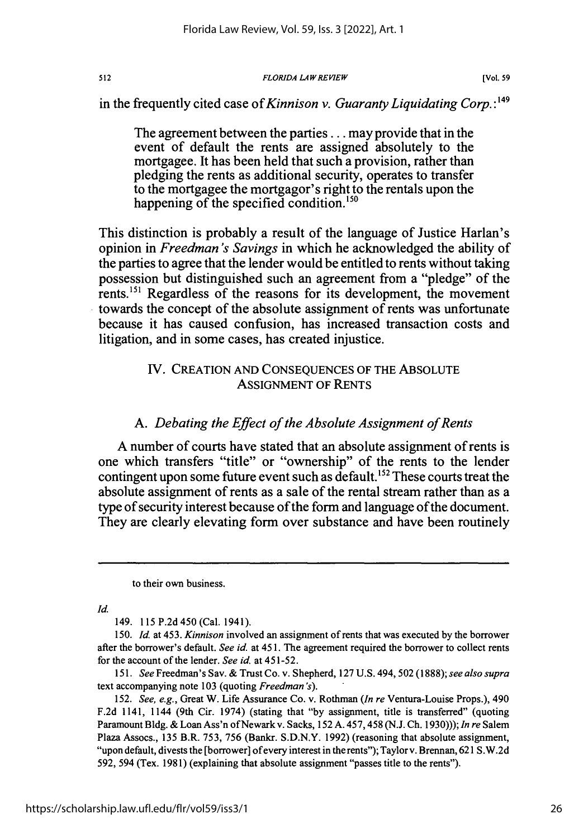### *FLORIDA LAWREVIEW*

in the frequently cited case *of Kinnison v. Guaranty Liquidating Corp.* :149

The agreement between the parties... may provide that in the event of default the rents are assigned absolutely to the mortgagee. It has been held that such a provision, rather than pledging the rents as additional security, operates to transfer to the mortgagee the mortgagor's right to the rentals upon the happening of the specified condition.<sup>150</sup>

This distinction is probably a result of the language of Justice Harlan's opinion in *Freedman's Savings* in which he acknowledged the ability of the parties to agree that the lender would be entitled to rents without taking possession but distinguished such an agreement from a "pledge" of the rents.<sup>151</sup> Regardless of the reasons for its development, the movement towards the concept of the absolute assignment of rents was unfortunate because it has caused confusion, has increased transaction costs and litigation, and in some cases, has created injustice.

### IV. CREATION AND CONSEQUENCES OF THE ABSOLUTE ASSIGNMENT OF RENTS

### *A. Debating the Effect of the Absolute Assignment of Rents*

**A** number of courts have stated that an absolute assignment of rents is one which transfers "title" or "ownership" of the rents to the lender contingent upon some future event such as default.<sup>152</sup> These courts treat the absolute assignment of rents as a sale of the rental stream rather than as a type of security interest because of the form and language of the document. They are clearly elevating form over substance and have been routinely

to their own business.

*Id.*

149. 115 P.2d450 (Cal. 1941).

*150. Id.* at 453. *Kinnison* involved an assignment of rents that was executed by the borrower after the borrower's default. *See id.* at 451. The agreement required the borrower to collect rents for the account of the lender. *See id.* at 451-52.

*151. See* Freedman's Sav.& Trust Co. v. Shepherd, 127 U.S. 494, 502 (1888); *see also supra* text accompanying note 103 (quoting *Freedman's).*

152. *See, e.g.,* Great W. Life Assurance Co. v. Rothman *(In re* Ventura-Louise Props.), 490 F.2d 1141, 1144 (9th Cir. 1974) (stating that "by assignment, title is transferred" (quoting Paramount Bldg. & Loan Ass'n ofNewark v. Sacks, 152 A. 457,458 (N.J. Ch. 1930))); *In re* Salem Plaza Assocs., 135 B.R. 753, 756 (Bankr. S.D.N.Y. 1992) (reasoning that absolute assignment, "upon default, divests the [borrower] of every interest in the rents"); Taylor v. Brennan, 621 S.W.2d 592, 594 (Tex. 1981) (explaining that absolute assignment "passes title to the rents").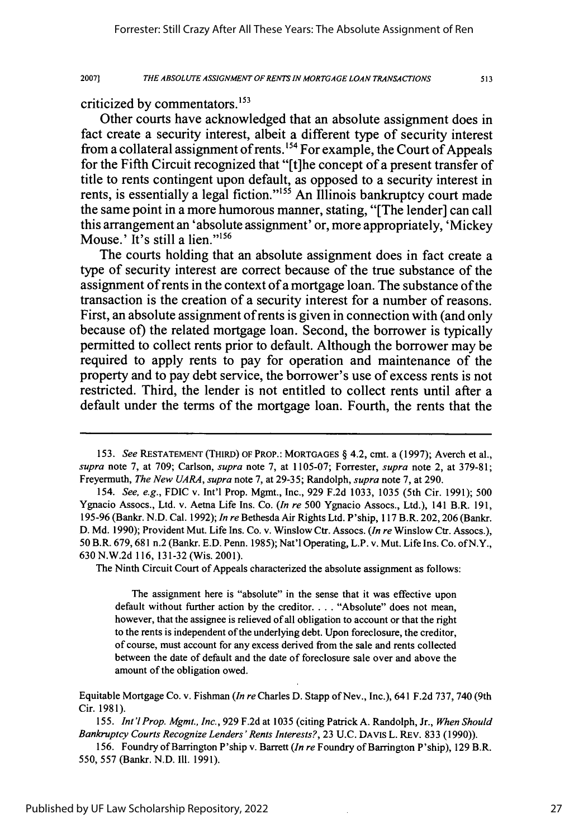513

criticized **by** commentators. **<sup>153</sup>**

20071

Other courts have acknowledged that an absolute assignment does in fact create a security interest, albeit a different type of security interest from a collateral assignment of rents. **<sup>54</sup>**For example, the Court of Appeals for the Fifth Circuit recognized that "[t]he concept of a present transfer of title to rents contingent upon default, as opposed to a security interest in rents, is essentially a legal fiction."<sup>155</sup> An Illinois bankruptcy court made the same point in a more humorous manner, stating, "[The lender] can call this arrangement an 'absolute assignment' or, more appropriately, 'Mickey Mouse.' It's still a lien." $156$ 

The courts holding that an absolute assignment does in fact create a type of security interest are correct because of the true substance of the assignment of rents in the context of a mortgage loan. The substance of the transaction is the creation of a security interest for a number of reasons. First, an absolute assignment of rents is given in connection with (and only because of) the related mortgage loan. Second, the borrower is typically permitted to collect rents prior to default. Although the borrower may be required to apply rents to pay for operation and maintenance of the property and to pay debt service, the borrower's use of excess rents is not restricted. Third, the lender is not entitled to collect rents until after a default under the terms of the mortgage loan. Fourth, the rents that the

154. *See, e.g.,* FDIC v. Int'l Prop. Mgmt., Inc., 929 F.2d 1033, 1035 (5th Cir. 1991); 500 Ygnacio Assocs., Ltd. v. Aetna Life Ins. Co. *(In re* 500 Ygnacio Assocs., Ltd.), 141 B.R. 191, **195-96** (Bankr. N.D. Cal. 1992); *In re* Bethesda Air Rights Ltd. P'ship, 117 B.R. 202,206 (Bankr. D. Md. 1990); Provident Mut. Life Ins. Co. v. Winslow Ctr. Assocs. *(In re* Winslow Ctr. Assocs.), 50 B.R. 679,681 n.2 (Bankr. E.D. Penn. 1985); Nat'l Operating, L.P. v. Mut. Life Ins. Co. ofN.Y., 630 N.W.2d 116, 131-32 (Wis. 2001).

The Ninth Circuit Court of Appeals characterized the absolute assignment as follows:

The assignment here is "absolute" in the sense that it was effective upon default without further action by the creditor. . . . "Absolute" does not mean, however, that the assignee is relieved of all obligation to account or that the right to the rents is independent of the underlying debt. Upon foreclosure, the creditor, of course, must account for any excess derived from the sale and rents collected between the date of default and the date of foreclosure sale over and above the amount of the obligation owed.

Equitable Mortgage Co. v. Fishman *(In re* Charles **D.** Stapp of Nev., Inc.), 641 F.2d 737, 740 (9th Cir. 1981).

*155. Int'l Prop. Mgmt., Inc.,* 929 F.2d at 1035 (citing Patrick A. Randolph, Jr., *When Should Bankruptcy Courts Recognize Lenders 'Rents Interests?,* 23 U.C. DAVIS L. REv. 833 (1990)).

156. Foundry ofBarrington P'ship v. Barrett *(In re* Foundry of Barrington P'ship), 129 B.R. 550, 557 (Bankr. N.D. Ill. 1991).

<sup>153.</sup> *See* **RESTATEMENT** (THIRD) **OF** PROP.: **MORTGAGES** § 4.2, cmt. a (1997); Averch et al., *supra* note 7, at **709;** Carlson, *supra* note **7,** at **1105-07;** Forrester, *supra* note 2, at 379-81; Freyermuth, *The New UARA, supra* note 7, at 29-35; Randolph, *supra* note 7, at 290.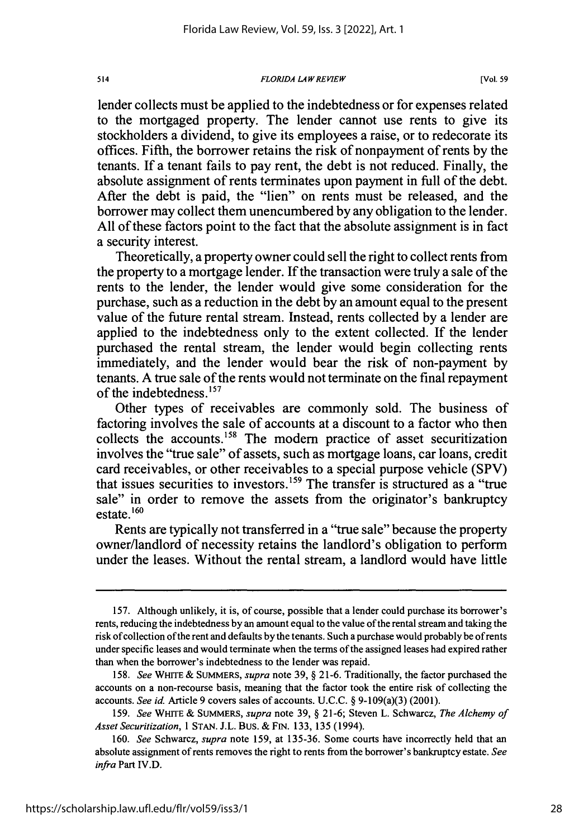### *FLORIDA LAWREVIEW*

lender collects must be applied to the indebtedness or for expenses related to the mortgaged property. The lender cannot use rents to give its stockholders a dividend, to give its employees a raise, or to redecorate its offices. Fifth, the borrower retains the risk of nonpayment of rents by the tenants. If a tenant fails to pay rent, the debt is not reduced. Finally, the absolute assignment of rents terminates upon payment in full of the debt. After the debt is paid, the "lien" on rents must be released, and the borrower may collect them unencumbered by any obligation to the lender. All of these factors point to the fact that the absolute assignment is in fact a security interest.

Theoretically, a property owner could sell the right to collect rents from the property to a mortgage lender. If the transaction were truly a sale of the rents to the lender, the lender would give some consideration for the purchase, such as a reduction in the debt by an amount equal to the present value of the future rental stream. Instead, rents collected by a lender are applied to the indebtedness only to the extent collected. If the lender purchased the rental stream, the lender would begin collecting rents immediately, and the lender would bear the risk of non-payment by tenants. A true sale of the rents would not terminate on the final repayment of the indebtedness. **<sup>1</sup> 57**

Other types of receivables are commonly sold. The business of factoring involves the sale of accounts at a discount to a factor who then collects the accounts.'58 The modem practice of asset securitization involves the "true sale" of assets, such as mortgage loans, car loans, credit card receivables, or other receivables to a special purpose vehicle (SPV) that issues securities to investors.'59 The transfer is structured as a "true sale" in order to remove the assets from the originator's bankruptcy estate.<sup>160</sup>

Rents are typically not transferred in a "true sale" because the property owner/landlord of necessity retains the landlord's obligation to perform under the leases. Without the rental stream, a landlord would have little

514

<sup>157.</sup> Although unlikely, it is, of course, possible that a lender could purchase its borrower's rents, reducing the indebtedness by an amount equal to the value of the rental stream and taking the risk of collection ofthe rent and defaults by the tenants. Such a purchase would probably be of rents under specific leases and would terminate when the terms of the assigned leases had expired rather than when the borrower's indebtedness to the lender was repaid.

<sup>158.</sup> *See* WHITE & SUMMERS, *supra* note 39, § 21-6. Traditionally, the factor purchased the accounts on a non-recourse basis, meaning that the factor took the entire risk of collecting the accounts. *See id.* Article 9 covers sales of accounts. U.C.C. § 9-109(a)(3) (2001).

<sup>159.</sup> *See* WHITE & SUMMERS, *supra* note 39, § 21-6; Steven L. Schwarcz, *The Alchemy of Asset Securitization,* 1 STAN. J.L. Bus. & FIN. 133, 135 (1994).

<sup>160.</sup> *See* Schwarcz, *supra* note 159, at 135-36. Some courts have incorrectly held that an absolute assignment of rents removes the right to rents from the borrower's bankruptcy estate. *See infra* Part IV.D.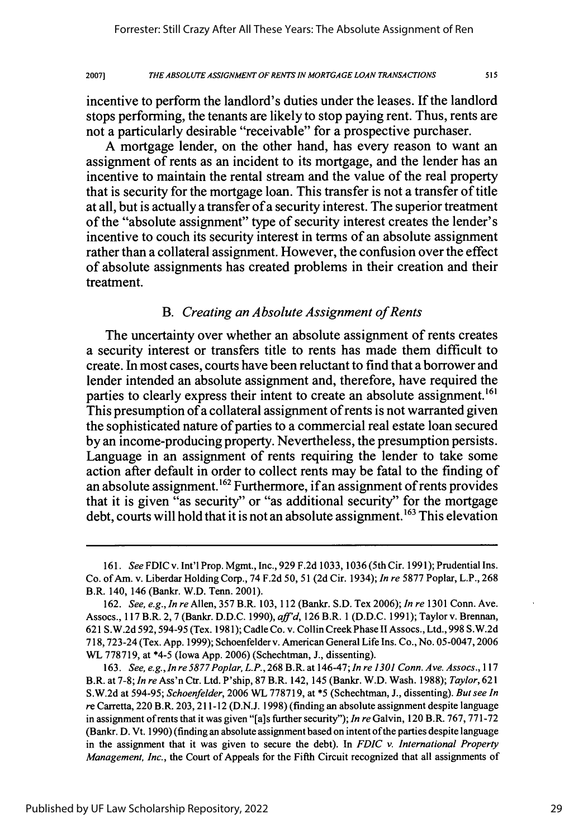A mortgage lender, on the other hand, has every reason to want an assignment of rents as an incident to its mortgage, and the lender has an incentive to maintain the rental stream and the value of the real property that is security for the mortgage loan. This transfer is not a transfer of title at all, but is actually a transfer of a security interest. The superior treatment of the "absolute assignment" type of security interest creates the lender's incentive to couch its security interest in terms of an absolute assignment rather than a collateral assignment. However, the confusion over the effect of absolute assignments has created problems in their creation and their treatment.

### *B. Creating an Absolute Assignment of Rents*

The uncertainty over whether an absolute assignment of rents creates a security interest or transfers title to rents has made them difficult to create. In most cases, courts have been reluctant to find that a borrower and lender intended an absolute assignment and, therefore, have required the parties to clearly express their intent to create an absolute assignment.<sup>161</sup> This presumption of a collateral assignment of rents is not warranted given the sophisticated nature of parties to a commercial real estate loan secured by an income-producing property. Nevertheless, the presumption persists. Language in an assignment of rents requiring the lender to take some action after default in order to collect rents may be fatal to the finding of an absolute assignment.<sup>162</sup> Furthermore, if an assignment of rents provides that it is given "as security" or "as additional security" for the mortgage debt, courts will hold that it is not an absolute assignment. **' <sup>63</sup>**This elevation

*<sup>161.</sup> See* FDIC v. Int'l Prop. Mgmt., Inc., 929 F.2d 1033, 1036 (5th Cir. 1991); Prudential Ins. Co. of Am. v. Liberdar Holding Corp., 74 F.2d *50,* 51 (2d Cir. 1934); *In re* 5877 Poplar, L.P., 268 B.R. 140, 146 (Bankr. W.D. Tenn. 2001).

<sup>162.</sup> *See, e.g., In re* Allen, 357 B.R. 103, 112 (Bankr. S.D. Tex 2006); *In re* 1301 Conn. Ave. Assocs., 117 B.R. 2,7 (Bankr. D.D.C. 1990), *affd,* 126 B.R. 1 (D.D.C. 1991); Taylor v. Brennan, 621 S.W.2d 592,594-95 (Tex. 1981); Cadle Co. v. Collin Creek Phase II Assocs., Ltd., 998 S.W.2d 718,723-24 (Tex. App. 1999); Schoenfelder v. American General Life Ins. Co., No. 05-0047,2006 WL 778719, at \*4-5 (Iowa App. 2006) (Schechtman, J., dissenting).

<sup>163.</sup> *See, e.g., In re 5877Poplar, L.P.,* 268 B.R. at 146-47; *In re 1301 Conn. Ave. Assocs., 117* B.R. at 7-8; *In re* Ass'n Ctr. Ltd. P'ship, 87 B.R. 142, 145 (Bankr. W.D. Wash. 1988); *Taylor, 621* S.W.2d at 594-95; *Schoenfelder,* 2006 WL 778719, at \*5 (Schechtman, **J.,** dissenting). *But see In* re Carretta, 220 B.R. 203, 211-12 (D.N.J. 1998) (finding an absolute assignment despite language in assignment of rents that it was given "[a]s further security"); *In re* Galvin, 120 B.R. 767, 771-72 (Bankr. D. Vt. 1990) (finding an absolute assignment based on intent of the parties despite language in the assignment that it was given to secure the debt). In *FDIC v. International Property Management, Inc.,* the Court of Appeals for the Fifth Circuit recognized that all assignments of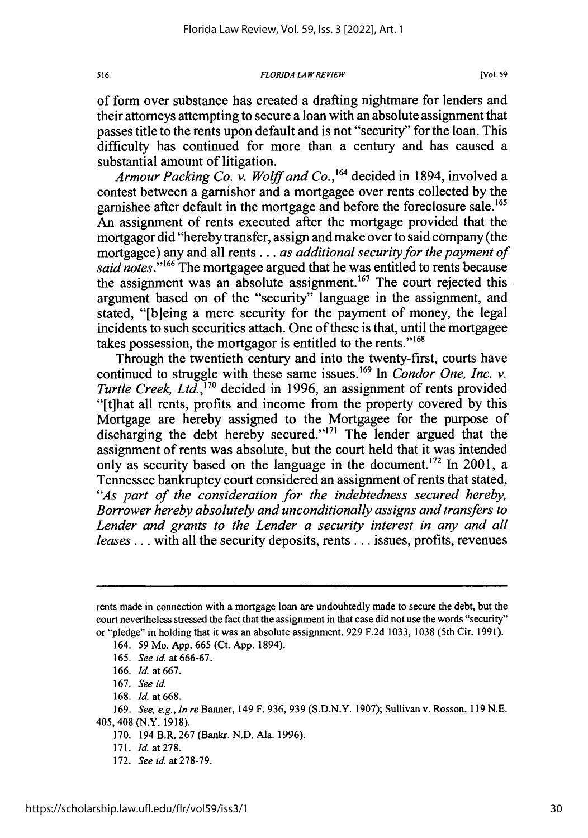*FLORIDA LAWREVIEW*

of form over substance has created a drafting nightmare for lenders and their attorneys attempting to secure a loan with an absolute assignment that passes title to the rents upon default and is not "security" for the loan. This difficulty has continued for more than a century and has caused a substantial amount of litigation.

*Armour Packing Co. v. Wolff and Co.,"6* decided in 1894, involved a contest between a garnishor and a mortgagee over rents collected by the garnishee after default in the mortgage and before the foreclosure sale.'<sup>65</sup> An assignment of rents executed after the mortgage provided that the mortgagor did "hereby transfer, assign and make over to said company (the mortgagee) any and all rents.., *as additional security for the payment of said notes."'66* The mortgagee argued that he was entitled to rents because the assignment was an absolute assignment.<sup>167</sup> The court rejected this argument based on of the "security" language in the assignment, and stated, "[b]eing a mere security for the payment of money, the legal incidents to such securities attach. One of these is that, until the mortgagee takes possession, the mortgagor is entitled to the rents."<sup>168</sup>

Through the twentieth century and into the twenty-first, courts have continued to struggle with these same issues. 169 In *Condor One, Inc. v. Turtle Creek, Ltd.,'170* decided in 1996, an assignment of rents provided "[t]hat all rents, profits and income from the property covered by this Mortgage are hereby assigned to the Mortgagee for the purpose of discharging the debt hereby secured."<sup>171</sup> The lender argued that the assignment of rents was absolute, but the court held that it was intended only as security based on the language in the document.<sup>172</sup> In 2001, a Tennessee bankruptcy court considered an assignment of rents that stated, *"As part of the consideration for the indebtedness secured hereby, Borrower hereby absolutely and unconditionally assigns and transfers to Lender and grants to the Lender a security interest in any and all leases...* with all the security deposits, rents... issues, profits, revenues

171. *Id.* at278.

516

rents made in connection with a mortgage loan are undoubtedly made to secure the debt, but the court nevertheless stressed the fact that the assignment in that case did not use the words "security" or "pledge" in holding that it was an absolute assignment. 929 F.2d 1033, 1038 (5th Cir. 1991).

<sup>164. 59</sup> Mo. App. 665 (Ct. App. 1894).

<sup>165.</sup> *See id.* at 666-67.

<sup>166.</sup> *Id.* at 667.

<sup>167.</sup> *See id.*

<sup>168.</sup> *Id.* at 668.

<sup>169.</sup> *See, e.g., In re* Banner, 149 F. 936, 939 (S.D.N.Y. 1907); Sullivan v. Rosson, 119 N.E. 405, 408 (N.Y. 1918).

<sup>170. 194</sup> B.R. 267 (Bankr. N.D. Ala. 1996).

<sup>172.</sup> *See id.* at 278-79.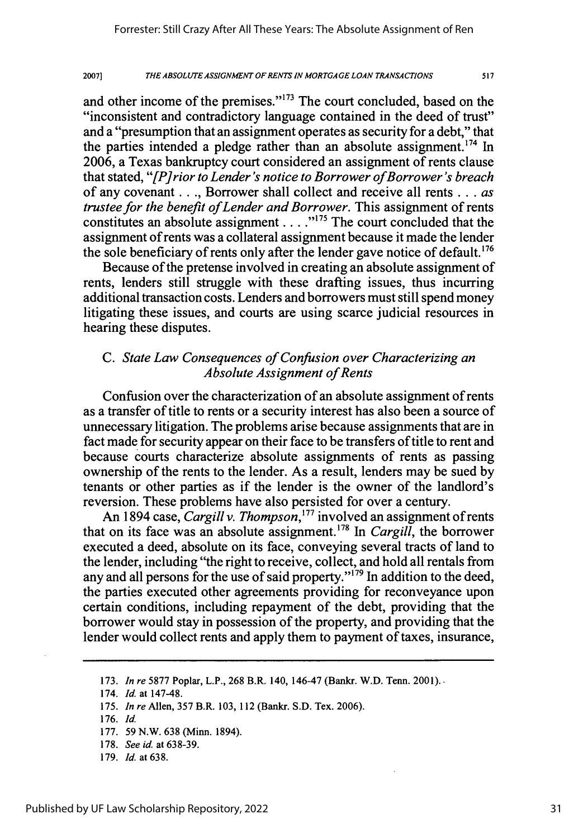and other income of the premises." $173$  The court concluded, based on the "inconsistent and contradictory language contained in the deed of trust" and a "presumption that an assignment operates as security for a debt," that the parties intended a pledge rather than an absolute assignment.<sup>174</sup> In 2006, a Texas bankruptcy court considered an assignment of rents clause that stated, *"[Pirior to Lender's notice to Borrower ofBorrower's breach* of any covenant **. .** ., Borrower shall collect and receive all rents **...** *as trustee for the benefit of Lender and Borrower.* This assignment of rents constitutes an absolute assignment  $\ldots$ ."<sup>175</sup> The court concluded that the assignment of rents was a collateral assignment because it made the lender the sole beneficiary of rents only after the lender gave notice of default.<sup>176</sup>

Because of the pretense involved in creating an absolute assignment of rents, lenders still struggle with these drafting issues, thus incurring additional transaction costs. Lenders and borrowers must still spend money litigating these issues, and courts are using scarce judicial resources in hearing these disputes.

## *C. State Law Consequences of Confusion over Characterizing an Absolute Assignment of Rents*

Confusion over the characterization of an absolute assignment of rents as a transfer of title to rents or a security interest has also been a source of unnecessary litigation. The problems arise because assignments that are in fact made for security appear on their face to be transfers of title to rent and because courts characterize absolute assignments of rents as passing ownership of the rents to the lender. As a result, lenders may be sued by tenants or other parties as if the lender is the owner of the landlord's reversion. These problems have also persisted for over a century.

An 1894 case, *Cargill v. Thompson,'77* involved an assignment of rents that on its face was an absolute assignment.<sup>178</sup> In *Cargill*, the borrower executed a deed, absolute on its face, conveying several tracts of land to the lender, including "the right to receive, collect, and hold all rentals from any and all persons for the use of said property." $179$  In addition to the deed, the parties executed other agreements providing for reconveyance upon certain conditions, including repayment of the debt, providing that the borrower would stay in possession of the property, and providing that the lender would collect rents and apply them to payment of taxes, insurance,

<sup>173.</sup> *In re* 5877 Poplar, L.P., 268 B.R. 140, 146-47 (Bankr. W.D. Tenn. 2001).

<sup>174.</sup> *Id.* at 147-48.

<sup>175.</sup> *In re* Allen, 357 B.R. 103, 112 (Bankr. S.D. Tex. 2006).

<sup>176.</sup> *Id.*

<sup>177. 59</sup> N.W. 638 (Minn. 1894).

<sup>178.</sup> *See id.* at 638-39.

<sup>179.</sup> *Id.* at 638.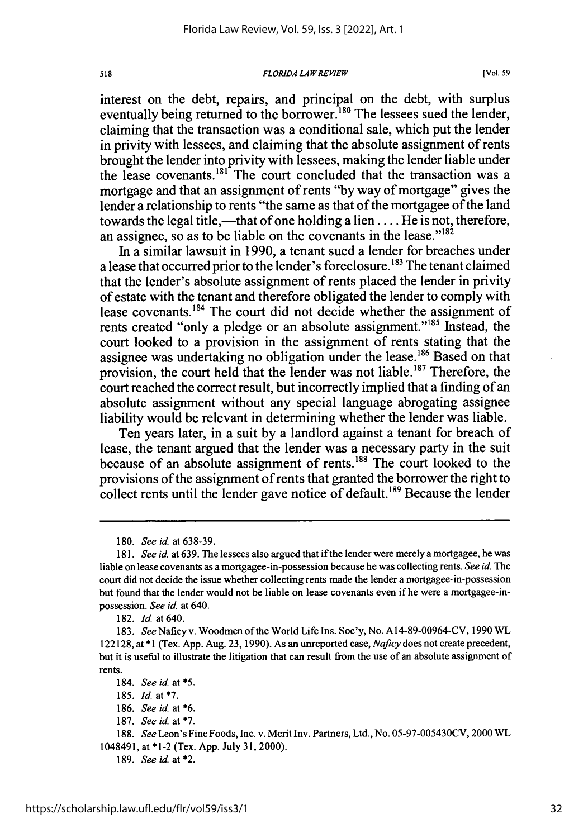### *FLORIDA LAW REVIEW*

interest on the debt, repairs, and principal on the debt, with surplus eventually being returned to the borrower.<sup>180</sup> The lessees sued the lender, claiming that the transaction was a conditional sale, which put the lender in privity with lessees, and claiming that the absolute assignment of rents brought the lender into privity with lessees, making the lender liable under the lease covenants. $181$  The court concluded that the transaction was a mortgage and that an assignment of rents "by way of mortgage" gives the lender a relationship to rents "the same as that of the mortgagee of the land towards the legal title,—that of one holding a lien  $\dots$ . He is not, therefore, an assignee, so as to be liable on the covenants in the lease." $182$ 

In a similar lawsuit in 1990, a tenant sued a lender for breaches under a lease that occurred prior to the lender's foreclosure. **' <sup>83</sup>**The tenant claimed that the lender's absolute assignment of rents placed the lender in privity of estate with the tenant and therefore obligated the lender to comply with lease covenants.<sup>184</sup> The court did not decide whether the assignment of rents created "only a pledge or an absolute assignment."<sup>185</sup> Instead, the court looked to a provision in the assignment of rents stating that the assignee was undertaking no obligation under the lease.<sup>186</sup> Based on that provision, the court held that the lender was not liable.<sup>187</sup> Therefore, the court reached the correct result, but incorrectly implied that a finding of an absolute assignment without any special language abrogating assignee liability would be relevant in determining whether the lender was liable.

Ten years later, in a suit by a landlord against a tenant for breach of lease, the tenant argued that the lender was a necessary party in the suit because of an absolute assignment of rents.<sup>188</sup> The court looked to the provisions of the assignment of rents that granted the borrower the right to collect rents until the lender gave notice of default.<sup>189</sup> Because the lender

<sup>180.</sup> *See id.* at 638-39.

*<sup>181.</sup> See id.* at 639. The lessees also argued that if the lender were merely a mortgagee, he was liable on lease covenants as a mortgagee-in-possession because he was collecting rents. *See id.* The court did not decide the issue whether collecting rents made the lender a mortgagee-in-possession but found that the lender would not be liable on lease covenants even if he were a mortgagee-inpossession. *See id.* at 640.

<sup>182.</sup> *Id.* at 640.

<sup>183.</sup> *See* Naficy v. Woodmen of the World Life Ins. Soc'y, No. A14-89-00964-CV, 1990 WL 122128, at \*1 (Tex. App. Aug. 23, 1990). As an unreported case, *Naficy* does not create precedent, but it is useful to illustrate the litigation that can result from the use of an absolute assignment of rents.

<sup>184.</sup> *See id* at **\*5.**

<sup>185.</sup> *Id.* at **\*7.**

<sup>186.</sup> *See id.* at \*6.

<sup>187.</sup> *See id. at \*7.*

<sup>188.</sup> *See* Leon's Fine Foods, Inc. v. Merit Inv. Partners, Ltd., No. 05-97-005430CV, 2000 WL 1048491, at \*1-2 (Tex. App. July 31, 2000).

<sup>189.</sup> *See* id. at \*2.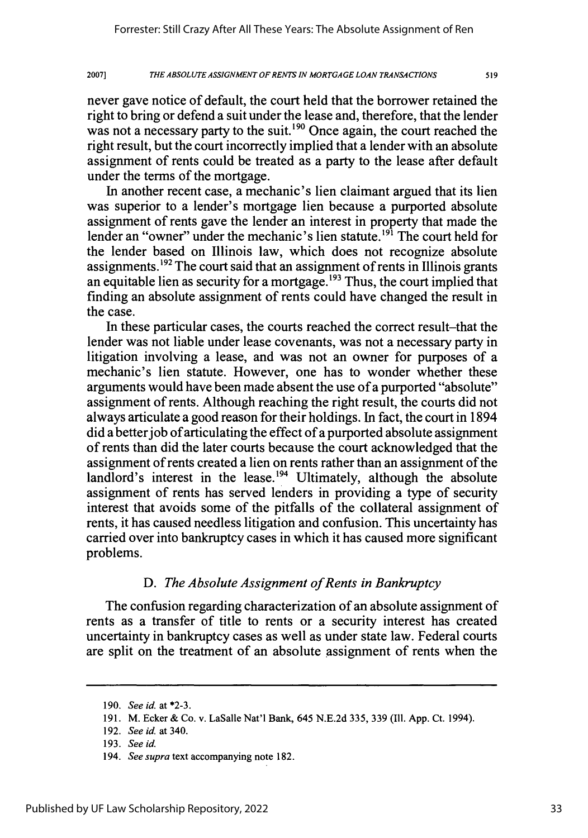never gave notice of default, the court held that the borrower retained the right to bring or defend a suit under the lease and, therefore, that the lender was not a necessary party to the suit.<sup>190</sup> Once again, the court reached the right result, but the court incorrectly implied that a lender with an absolute assignment of rents could be treated as a party to the lease after default under the terms of the mortgage.

In another recent case, a mechanic's lien claimant argued that its lien was superior to a lender's mortgage lien because a purported absolute assignment of rents gave the lender an interest in property that made the lender an "owner" under the mechanic's lien statute.<sup>191</sup> The court held for the lender based on Illinois law, which does not recognize absolute assignments. **1 <sup>92</sup>**The court said that an assignment of rents in Illinois grants an equitable lien as security for a mortgage.<sup>193</sup> Thus, the court implied that finding an absolute assignment of rents could have changed the result in the case.

In these particular cases, the courts reached the correct result-that the lender was not liable under lease covenants, was not a necessary party in litigation involving a lease, and was not an owner for purposes of a mechanic's lien statute. However, one has to wonder whether these arguments would have been made absent the use of a purported "absolute" assignment of rents. Although reaching the right result, the courts did not always articulate a good reason for their holdings. In fact, the court in 1894 did a better job of articulating the effect of a purported absolute assignment of rents than did the later courts because the court acknowledged that the assignment of rents created a lien on rents rather than an assignment of the landlord's interest in the lease.<sup>194</sup> Ultimately, although the absolute assignment of rents has served lenders in providing a type of security interest that avoids some of the pitfalls of the collateral assignment of rents, it has caused needless litigation and confusion. This uncertainty has carried over into bankruptcy cases in which it has caused more significant problems.

### *D. The Absolute Assignment of Rents in Bankruptcy*

The confusion regarding characterization of an absolute assignment of rents as a transfer of title to rents or a security interest has created uncertainty in bankruptcy cases as well as under state law. Federal courts are split on the treatment of an absolute assignment of rents when the

<sup>190.</sup> *See id.* at \*2-3.

<sup>191.</sup> M. Ecker & Co. v. LaSalle Nat'l Bank, 645 N.E.2d 335, 339 (Ill. App. Ct. 1994).

<sup>192.</sup> *See id.* at 340.

<sup>193.</sup> *See id.*

<sup>194.</sup> *See supra* text accompanying note 182.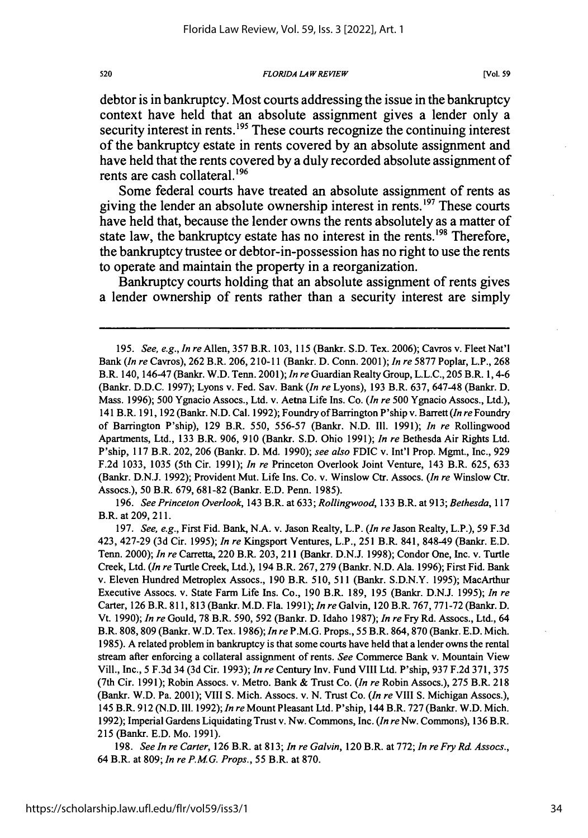*FLORIDA LAW REVIEW*

debtor is in bankruptcy. Most courts addressing the issue in the bankruptcy context have held that an absolute assignment gives a lender only a security interest in rents.<sup>195</sup> These courts recognize the continuing interest of the bankruptcy estate in rents covered **by** an absolute assignment and have held that the rents covered **by** a duly recorded absolute assignment of rents are cash collateral.<sup>196</sup>

Some federal courts have treated an absolute assignment of rents as giving the lender an absolute ownership interest in rents.  $197$  These courts have held that, because the lender owns the rents absolutely as a matter of state law, the bankruptcy estate has no interest in the rents.<sup>198</sup> Therefore, the bankruptcy trustee or debtor-in-possession has no right to use the rents to operate and maintain the property in a reorganization.

Bankruptcy courts holding that an absolute assignment of rents gives a lender ownership of rents rather than a security interest are simply

196. *See Princeton Overlook,* 143 B.R. at 633; *Rollingwood,* 133 B.R. at 913; *Bethesda,* <sup>117</sup> B.R. at 209, 211.

198. *See ln re Carter,* 126 B.R. at 813; *In re Galvin,* 120 B.R. at 772; *In re Fry Rd. Assocs.,* 64 B.R. at 809; *In re P.MG. Props.,* 55 B.R. at 870.

520

<sup>195.</sup> *See, e.g., In re* Allen, 357 B.R. 103, 115 (Bankr. S.D. Tex. 2006); Cavros v. Fleet Nat'l Bank *(In re* Cavros), 262 B.R. 206, 210-11 (Bankr. D. Conn. 2001); *In re* 5877 Poplar, L.P., 268 B.R. 140, 146-47 (Bankr. W.D. Tenn. 2001); *In re* Guardian Realty Group, L.L.C., 205 B.R. 1,4-6 (Bankr. D.D.C. 1997); Lyons v. Fed. Sav. Bank *(In re* Lyons), 193 B.R. 637, 647-48 (Bankr. D. Mass. 1996); 500 Ygnacio Assocs., Ltd. v. Aetna Life Ins. Co. *(In re* 500 Ygnacio Assocs., Ltd.), 141 B.R. 191, 192 (Bankr. N.D. Cal. 1992); Foundry ofBarrington P'ship v. Barrett *(In re* Foundry of Barrington P'ship), 129 B.R. 550, 556-57 (Bankr. N.D. **I11.** 1991); *In re* Rollingwood Apartments, Ltd., 133 B.R. 906, 910 (Bankr. S.D. Ohio 1991); *In re* Bethesda Air Rights Ltd. P'ship, 117 B.R. 202, 206 (Bankr. D. Md. 1990); *see also* FDIC v. Int'l Prop. Mgmt., Inc., 929 F.2d 1033, 1035 (5th Cir. 1991); *In re* Princeton Overlook Joint Venture, 143 B.R. 625, 633 (Bankr. D.N.J. 1992); Provident Mut. Life Ins. Co. v. Winslow Ctr. Assocs. *(In re* Winslow Ctr. Assocs.), 50 B.R. 679, 681-82 (Bankr. E.D. Penn. 1985).

<sup>197.</sup> *See, e.g.,* First Fid. Bank, N.A. v. Jason Realty, L.P. *(In re* Jason Realty, L.P.), 59 F.3d 423, 427-29 (3d Cir. 1995); *In re* Kingsport Ventures, L.P., 251 B.R. 841, 848-49 (Bankr. E.D. Tenn. 2000); *In re* Carretta, 220 B.R. 203, 211 (Bankr. D.N.J. 1998); Condor One, Inc. v. Turtle Creek, Ltd. *(In re* Turtle Creek, Ltd.), 194 B.R. 267, 279 (Bankr. N.D. Ala. 1996); First Fid. Bank v. Eleven Hundred Metroplex Assocs., 190 B.R. 510, 511 (Bankr. S.D.N.Y. 1995); MacArthur Executive Assocs. v. State Farm Life Ins. Co., 190 B.R. 189, 195 (Bankr. D.N.J. 1995); *In re* Carter, 126 B.R. 811, 813 (Bankr. M.D. Fla. 1991); *In re* Galvin, 120 B.R. 767,771-72 (Bankr. D. Vt. 1990); *In re* Gould, 78 B.R. 590, 592 (Bankr. D. Idaho 1987); *In re* Fry Rd. Assocs., Ltd., 64 B.R. 808,809 (Bankr. W.D. Tex. 1986); *In re* P.M.G. Props., 55 B.R. 864,870 (Bankr. E.D. Mich. 1985). A related problem in bankruptcy is that some courts have held that a lender owns the rental stream after enforcing a collateral assignment of rents. *See* Commerce Bank v. Mountain View Vill., Inc., 5 F.3d 34 (3d Cir. 1993); *In re* Century Inv. Fund VIII Ltd. P'ship, 937 F.2d 371, 375 (7th Cir. 1991); Robin Assocs. v. Metro. Bank & Trust Co. *(In re* Robin Assocs.), 275 B.R. 218 (Bankr. W.D. Pa. 2001); VIII S. Mich. Assocs. v. N. Trust Co. *(In re* VIII S. Michigan Assocs.), 145 B.R. 912 (N.D. Ill. 1992); *In re* Mount Pleasant Ltd. P'ship, 144 B.R. 727 (Bankr. W.D. Mich. 1992); Imperial Gardens Liquidating Trust v. Nw. Commons, Inc. *(In re* Nw. Commons), 136 B.R. 215 (Bankr. E.D. Mo. 1991).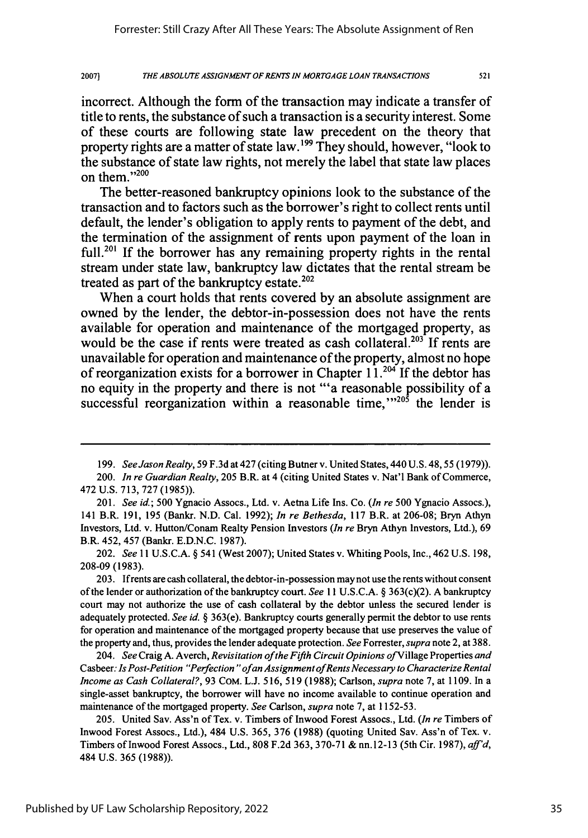incorrect. Although the form of the transaction may indicate a transfer of title to rents, the substance of such a transaction is a security interest. Some of these courts are following state law precedent on the theory that property rights are a matter of state law. **' <sup>99</sup>**They should, however, "look to the substance of state law rights, not merely the label that state law places on them."200

The better-reasoned bankruptcy opinions look to the substance of the transaction and to factors such as the borrower's right to collect rents until default, the lender's obligation to apply rents to payment of the debt, and the termination of the assignment of rents upon payment of the loan in full.<sup>201</sup> If the borrower has any remaining property rights in the rental stream under state law, bankruptcy law dictates that the rental stream be treated as part of the bankruptcy estate. $202$ 

When a court holds that rents covered **by** an absolute assignment are owned **by** the lender, the debtor-in-possession does not have the rents available for operation and maintenance of the mortgaged property, as would be the case if rents were treated as cash collateral.<sup>203</sup> If rents are unavailable for operation and maintenance of the property, almost no hope of reorganization exists for a borrower in Chapter **11.21** If the debtor has no equity in the property and there is not "'a reasonable possibility of a successful reorganization within a reasonable time,<sup> $1205$ </sup> the lender is

202. *See* 11 U.S.C.A. § 541 (West 2007); United States v. Whiting Pools, Inc., 462 U.S. 198, 208-09 (1983).

203. If rents are cash collateral, the debtor-in-possession may not use the rents without consent of the lender or authorization of the bankruptcy court. *See* 11 U.S.C.A. § 363(c)(2). A bankruptcy court may not authorize the use of cash collateral **by** the debtor unless the secured lender is adequately protected. *See id.* § 363(e). Bankruptcy courts generally permit the debtor to use rents for operation and maintenance of the mortgaged property because that use preserves the value of the property and, thus, provides the lender adequate protection. *See* Forrester, *supra* note 2, at 388.

204. *See* Craig A. Averch, *Revisitation ofthe Fifth Circuit Opinions* ofVillage Properties *and* Casbeer: *Is Post-Petition "Perfection "ofan Assignment ofRents Necessary to Characterize Rental Income as Cash Collateral?,* 93 CoM. L.J. 516, 519 (1988); Carlson, *supra* note 7, at 1109. In a single-asset bankruptcy, the borrower will have no income available to continue operation and maintenance of the mortgaged property. *See* Carlson, *supra* note 7, at 1152-53.

205. United Sav. Ass'n of Tex. v. Timbers of Inwood Forest Assocs., Ltd. *(In re* Timbers of Inwood Forest Assocs., Ltd.), 484 U.S. 365, 376 (1988) (quoting United Sav. Ass'n of Tex. v. Timbers of Inwood Forest Assocs., Ltd., **808** F.2d 363, 370-71 & nn. 12-13 (5th Cir. 1987), *aff'd,* 484 U.S. 365 (1988)).

<sup>199.</sup> *See Jason Realty,* 59 F.3d at 427 (citing Butner v. United States, 440 U.S. 48, 55 (1979)).

<sup>200.</sup> *In re Guardian Realty,* **205** B.R. at 4 (citing United States v. Nat'l Bank of Commerce, 472 U.S. 713, 727 (1985)).

<sup>201.</sup> *See id.; 500* Ygnacio Assocs., Ltd. v. Aetna Life Ins. Co. *(In re 500* Ygnacio Assocs.), 141 B.R. 191, 195 (Bankr. N.D. Cal. 1992); *In re Bethesda,* 117 B.R. at 206-08; Bryn Athyn Investors, Ltd. v. Hutton/Conam Realty Pension Investors *(In re* Bryn Athyn Investors, Ltd.), 69 B.R. 452, 457 (Bankr. E.D.N.C. 1987).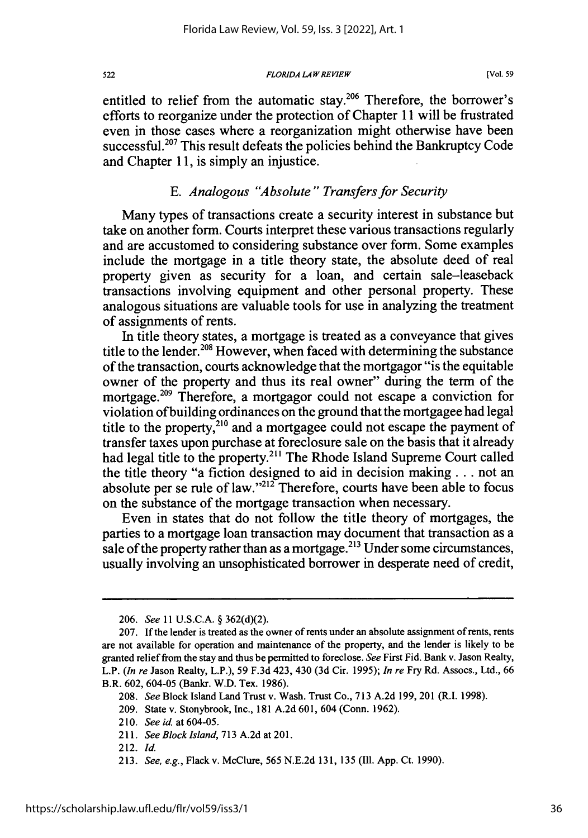*FLORIDA LAW REVIEW*

entitled to relief from the automatic stay.<sup>206</sup> Therefore, the borrower's efforts to reorganize under the protection of Chapter **11** will be frustrated even in those cases where a reorganization might otherwise have been successful.<sup>207</sup> This result defeats the policies behind the Bankruptcy Code and Chapter **11,** is simply an injustice.

### *E. Analogous "Absolute" Transfers for Security*

Many types of transactions create a security interest in substance but take on another form. Courts interpret these various transactions regularly and are accustomed to considering substance over form. Some examples include the mortgage in a title theory state, the absolute deed of real property given as security for a loan, and certain sale-leaseback transactions involving equipment and other personal property. These analogous situations are valuable tools for use in analyzing the treatment of assignments of rents.

In title theory states, a mortgage is treated as a conveyance that gives title to the lender.<sup>208</sup> However, when faced with determining the substance of the transaction, courts acknowledge that the mortgagor "is the equitable owner of the property and thus its real owner" during the term of the mortgage.<sup>209</sup> Therefore, a mortgagor could not escape a conviction for violation of building ordinances on the ground that the mortgagee had legal title to the property, $2^{10}$  and a mortgagee could not escape the payment of transfer taxes upon purchase at foreclosure sale on the basis that it already had legal title to the property.211 The Rhode Island Supreme Court called the title theory "a fiction designed to aid in decision making **...** not an absolute per se rule of law." $^{212}$  Therefore, courts have been able to focus on the substance of the mortgage transaction when necessary.

Even in states that do not follow the title theory of mortgages, the parties to a mortgage loan transaction may document that transaction as a sale of the property rather than as a mortgage.<sup>213</sup> Under some circumstances, usually involving an unsophisticated borrower in desperate need of credit,

522

<sup>206.</sup> See 11 U.S.C.A. § 362(d)(2).

<sup>207.</sup> If the lender is treated as the owner of rents under an absolute assignment of rents, rents are not available for operation and maintenance of the property, and the lender is likely to be granted relief from the stay and thus be permitted to foreclose. See First Fid. Bank v. Jason Realty, L.P. (In re Jason Realty, L.P.), 59 F.3d 423, 430 (3d Cir. 1995); In re Fry Rd. Assocs., Ltd., 66 B.R. 602, 604-05 (Bankr. W.D. Tex. 1986).

<sup>208.</sup> See Block Island Land Trust v. Wash. Trust Co., 713 A.2d 199, 201 (R.I. 1998).

<sup>209.</sup> State v. Stonybrook, Inc., 181 A.2d 601, 604 (Conn. 1962).

<sup>210.</sup> See id. at 604-05.

<sup>211.</sup> See Block Island, 713 A.2d at 201.

<sup>212.</sup> Id.

<sup>213.</sup> See, e.g., Flack v. McClure, 565 N.E.2d 131, 135 (Ill. App. Ct. 1990).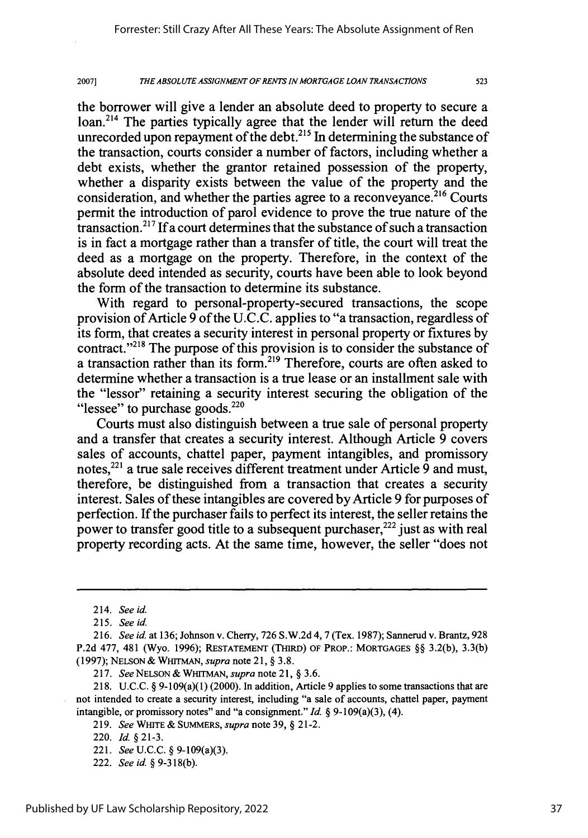the borrower will give a lender an absolute deed to property to secure a loan.<sup>214</sup> The parties typically agree that the lender will return the deed unrecorded upon repayment of the debt.<sup>215</sup> In determining the substance of the transaction, courts consider a number of factors, including whether a debt exists, whether the grantor retained possession of the property, whether a disparity exists between the value of the property and the consideration, and whether the parties agree to a reconveyance.<sup>216</sup> Courts permit the introduction of parol evidence to prove the true nature of the transaction.2"7 **If** a court determines that the substance of such a transaction is in fact a mortgage rather than a transfer of title, the court will treat the deed as a mortgage on the property. Therefore, in the context of the absolute deed intended as security, courts have been able to look beyond the form of the transaction to determine its substance.

With regard to personal-property-secured transactions, the scope provision of Article 9 of the U.C.C. applies to "a transaction, regardless of its form, that creates a security interest in personal property or fixtures by contract."<sup>218</sup> The purpose of this provision is to consider the substance of a transaction rather than its form.<sup>219</sup> Therefore, courts are often asked to determine whether a transaction is a true lease or an installment sale with the "lessor" retaining a security interest securing the obligation of the "lessee" to purchase goods.<sup>220</sup>

Courts must also distinguish between a true sale of personal property and a transfer that creates a security interest. Although Article 9 covers sales of accounts, chattel paper, payment intangibles, and promissory notes,<sup>221</sup> a true sale receives different treatment under Article 9 and must, therefore, be distinguished from a transaction that creates a security interest. Sales of these intangibles are covered by Article 9 for purposes of perfection. If the purchaser fails to perfect its interest, the seller retains the power to transfer good title to a subsequent purchaser,<sup>222</sup> just as with real property recording acts. At the same time, however, the seller "does not

<sup>214.</sup> *See id.*

<sup>215.</sup> *See id.*

*<sup>216.</sup> See id.* at 136; Johnson v. Cherry, 726 S.W.2d 4,7 (Tex. 1987); Sannerud v. Brantz, 928 P.2d **477,** 481 (Wyo. 1996); RESTATEMENT (THIRD) OF PROP.: MORTGAGES §§ 3.2(b), 3.3(b) (1997); NELSON & WHITMAN, *supra* note **21,** § **3.8.**

**<sup>217.</sup>** *See* NELSON *&* WHITMAN, *supra* note 21, § 3.6.

<sup>218.</sup> U.C.C. § 9-109(a)(1) (2000). In addition, Article 9 applies to some transactions that are not intended to create a security interest, including "a sale of accounts, chattel paper, payment intangible, or promissory notes" and "a consignment." *Id.* § 9-109(a)(3), (4).

<sup>219.</sup> *See* WHITE & SUMMERS, *supra* note **39,** § 21-2.

<sup>220.</sup> *Id.* §21-3.

<sup>221.</sup> *See U.C.C.* § 9-109(a)(3).

<sup>222.</sup> *See id.* § 9-318(b).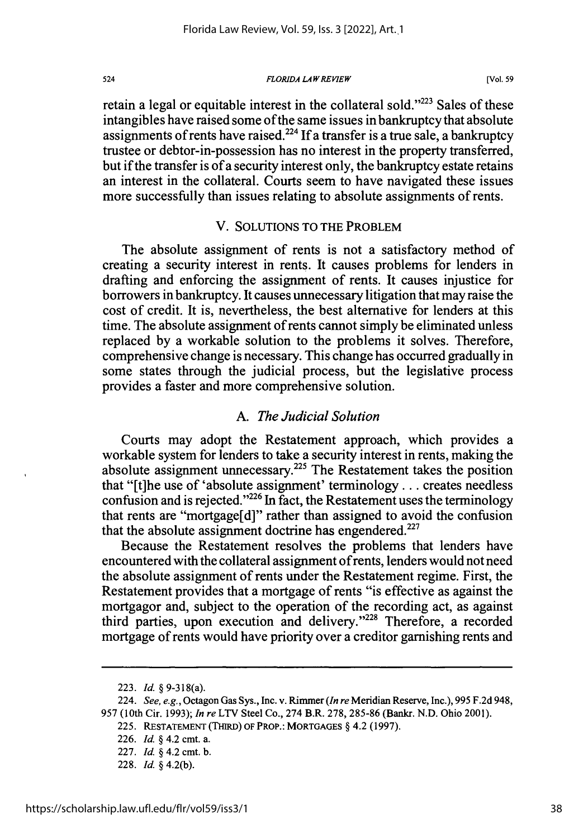*FLORIDA LAW REVIEW*

retain a legal or equitable interest in the collateral sold. $223$  Sales of these intangibles have raised some of the same issues in bankruptcy that absolute assignments of rents have raised.<sup>224</sup> If a transfer is a true sale, a bankruptcy trustee or debtor-in-possession has no interest in the property transferred, but if the transfer is of a security interest only, the bankruptcy estate retains an interest in the collateral. Courts seem to have navigated these issues more successfully than issues relating to absolute assignments of rents.

### V. SOLUTIONS TO THE PROBLEM

The absolute assignment of rents is not a satisfactory method of creating a security interest in rents. It causes problems for lenders in drafting and enforcing the assignment of rents. It causes injustice for borrowers in bankruptcy. It causes unnecessary litigation that may raise the cost of credit. It is, nevertheless, the best alternative for lenders at this time. The absolute assignment of rents cannot simply be eliminated unless replaced by a workable solution to the problems it solves. Therefore, comprehensive change is necessary. This change has occurred gradually in some states through the judicial process, but the legislative process provides a faster and more comprehensive solution.

### *A. The Judicial Solution*

Courts may adopt the Restatement approach, which provides a workable system for lenders to take a security interest in rents, making the absolute assignment unnecessary. 225 The Restatement takes the position that "[t]he use of 'absolute assignment' terminology **...** creates needless confusion and is rejected." $226$  In fact, the Restatement uses the terminology that rents are "mortgage[d]" rather than assigned to avoid the confusion that the absolute assignment doctrine has engendered.<sup>227</sup>

Because the Restatement resolves the problems that lenders have encountered with the collateral assignment of rents, lenders would not need the absolute assignment of rents under the Restatement regime. First, the Restatement provides that a mortgage of rents "is effective as against the mortgagor and, subject to the operation of the recording act, as against third parties, upon execution and delivery."<sup>228</sup> Therefore, a recorded mortgage of rents would have priority over a creditor garnishing rents and

<sup>223.</sup> Id. § 9-318(a).

<sup>224.</sup> *See, e.g.,* Octagon Gas Sys., Inc. v. Rimmer *(In re* Meridian Reserve, Inc.), 995 F.2d 948, 957 (10th Cir. 1993); *In re* LTV Steel Co., 274 B.R. 278,285-86 (Bankr. N.D. Ohio 2001).

<sup>225.</sup> RESTATEMENT **(THIRD) OF** PROP.: MORTGAGES § 4.2 (1997).

<sup>226.</sup> Id. *§* 4.2 cmt. a.

<sup>227.</sup> Id. *§* 4.2 cmt. **b.**

<sup>228.</sup> Id. § 4.2(b).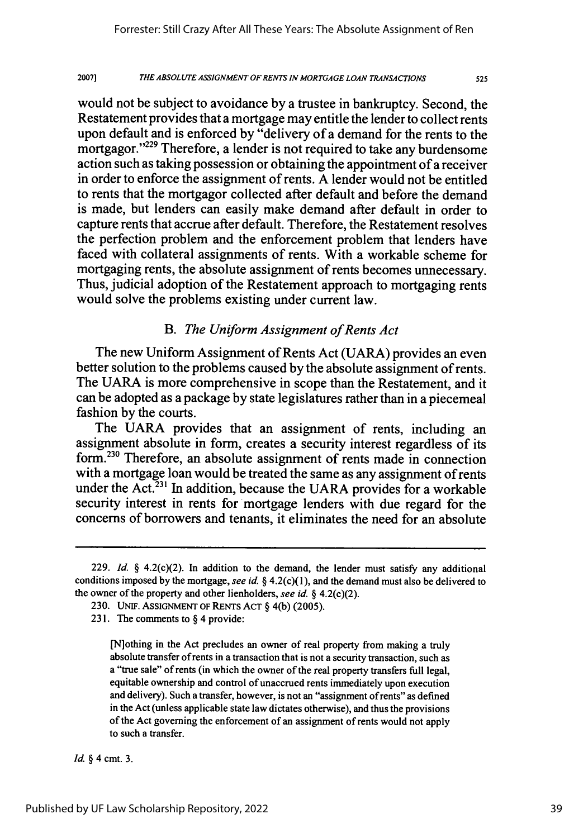20071 *THE ABSOLUTE ASSIGNMENT OF RENTS IN MORTGAGE LOAN TRANSACTIONS*

would not be subject to avoidance by a trustee in bankruptcy. Second, the Restatement provides that a mortgage may entitle the lender to collect rents upon default and is enforced by "delivery of a demand for the rents to the mortgagor."<sup>229</sup> Therefore, a lender is not required to take any burdensome action such as taking possession or obtaining the appointment of a receiver in order to enforce the assignment of rents. A lender would not be entitled to rents that the mortgagor collected after default and before the demand is made, but lenders can easily make demand after default in order to capture rents that accrue after default. Therefore, the Restatement resolves the perfection problem and the enforcement problem that lenders have faced with collateral assignments of rents. With a workable scheme for mortgaging rents, the absolute assignment of rents becomes unnecessary. Thus, judicial adoption of the Restatement approach to mortgaging rents would solve the problems existing under current law.

# *B. The Uniform Assignment of Rents Act*

The new Uniform Assignment of Rents Act (UARA) provides an even better solution to the problems caused by the absolute assignment of rents. The UARA is more comprehensive in scope than the Restatement, and it can be adopted as a package by state legislatures rather than in a piecemeal fashion by the courts.

The UARA provides that an assignment of rents, including an assignment absolute in form, creates a security interest regardless of its form.<sup>230</sup> Therefore, an absolute assignment of rents made in connection with a mortgage loan would be treated the same as any assignment of rents under the Act.<sup>231</sup> In addition, because the UARA provides for a workable security interest in rents for mortgage lenders with due regard for the concerns of borrowers and tenants, it eliminates the need for an absolute

*Id. §* 4 cmt. **3.**

<sup>229.</sup> *Id.* § 4.2(c)(2). In addition to the demand, the lender must satisfy any additional conditions imposed by the mortgage, see *id.* § 4.2(c)(1), and the demand must also be delivered to the owner of the property and other lienholders, see id.  $\S$  4.2(c)(2).

<sup>230.</sup> UNIF. ASSIGNMENT OF RENTS ACT § 4(b) (2005).

<sup>23</sup> **1.** The comments to § 4 provide:

<sup>[</sup>N]othing in the Act precludes an owner of real property from making a truly absolute transfer of rents in a transaction that is not a security transaction, such as a "true sale" of rents (in which the owner of the real property transfers full legal, equitable ownership and control of unaccrued rents immediately upon execution and delivery). Such a transfer, however, is not an "assignment of rents" as defined in the Act (unless applicable state law dictates otherwise), and thus the provisions of the Act governing the enforcement of an assignment of rents would not apply to such a transfer.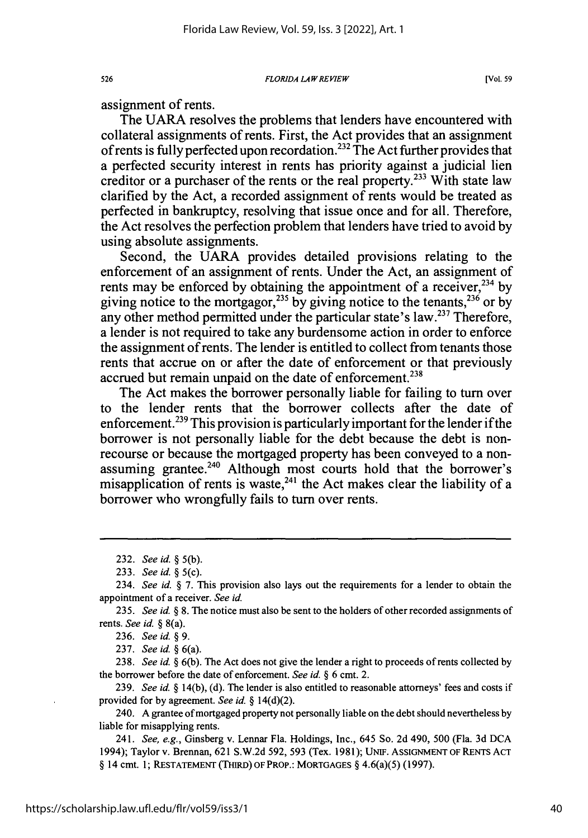*FLORIDA LAW REVIEW*

assignment of rents.

The UARA resolves the problems that lenders have encountered with collateral assignments of rents. First, the Act provides that an assignment of rents is fully perfected upon recordation.<sup>232</sup> The Act further provides that a perfected security interest in rents has priority against a judicial lien creditor or a purchaser of the rents or the real property.<sup>233</sup> With state law clarified by the Act, a recorded assignment of rents would be treated as perfected in bankruptcy, resolving that issue once and for all. Therefore, the Act resolves the perfection problem that lenders have tried to avoid by using absolute assignments.

Second, the UARA provides detailed provisions relating to the enforcement of an assignment of rents. Under the Act, an assignment of rents may be enforced by obtaining the appointment of a receiver.<sup>234</sup> by giving notice to the mortgagor,<sup>235</sup> by giving notice to the tenants,<sup>236</sup> or by any other method permitted under the particular state's law.<sup>237</sup> Therefore, a lender is not required to take any burdensome action in order to enforce the assignment of rents. The lender is entitled to collect from tenants those rents that accrue on or after the date of enforcement or that previously accrued but remain unpaid on the date of enforcement.<sup>238</sup>

The Act makes the borrower personally liable for failing to turn over to the lender rents that the borrower collects after the date of enforcement.<sup>239</sup> This provision is particularly important for the lender if the borrower is not personally liable for the debt because the debt is nonrecourse or because the mortgaged property has been conveyed to a nonassuming grantee.<sup>240</sup> Although most courts hold that the borrower's misapplication of rents is waste,<sup>241</sup> the Act makes clear the liability of a borrower who wrongfully fails to turn over rents.

237. *See id. §* 6(a).

238. *See id. §* 6(b). The Act does not give the lender a right to proceeds of rents collected by the borrower before the date of enforcement. *See id. §* 6 cmt. 2.

239. *See id.* § 14(b), (d). The lender is also entitled to reasonable attorneys' fees and costs if provided for by agreement. *See id.* § 14(d)(2).

240. A grantee of mortgaged property not personally liable on the debt should nevertheless by liable for misapplying rents.

241. *See, e.g.,* Ginsberg v. Lennar Fla. Holdings, Inc., 645 So. 2d 490, 500 (Fla. 3d DCA 1994); Taylor v. Brennan, 621 S.W.2d 592, 593 (Tex. 1981); UNiF. **ASSIGNMENT** OF RENTS **ACT** § 14 cmt. 1; **RESTATEMENT** (THIRD) OF PROP.: **MORTGAGES** § 4.6(a)(5) (1997).

526

<sup>232.</sup> *See id. §* 5(b).

<sup>233.</sup> *See id. §* 5(c).

<sup>234.</sup> *See id. §* 7. This provision also lays out the requirements for a lender to obtain the appointment of a receiver. *See id.*

<sup>235.</sup> *See id. §* 8. The notice must also be sent to the holders of other recorded assignments of rents. *See id.* § 8(a).

<sup>236.</sup> *See id. § 9.*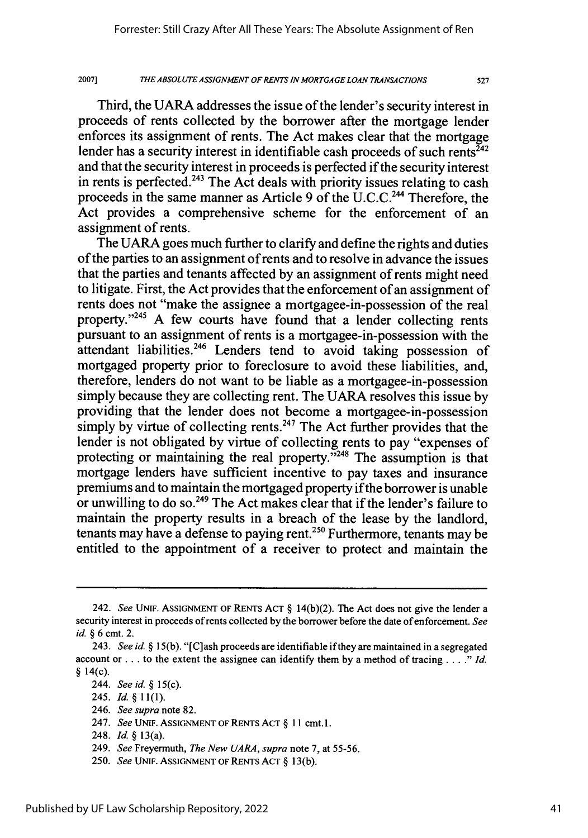527

Third, the UARA addresses the issue of the lender's security interest in proceeds of rents collected by the borrower after the mortgage lender enforces its assignment of rents. The Act makes clear that the mortgage lender has a security interest in identifiable cash proceeds of such rents<sup> $\bar{z}_{42}$ </sup> and that the security interest in proceeds is perfected if the security interest in rents is perfected.<sup>243</sup> The Act deals with priority issues relating to cash proceeds in the same manner as Article 9 of the U.C.C.<sup>244</sup> Therefore, the Act provides a comprehensive scheme for the enforcement of an assignment of rents.

The UARA goes much further to clarify and define the rights and duties of the parties to an assignment of rents and to resolve in advance the issues that the parties and tenants affected by an assignment of rents might need to litigate. First, the Act provides that the enforcement of an assignment of rents does not "make the assignee a mortgagee-in-possession of the real property."<sup>245</sup> A few courts have found that a lender collecting rents pursuant to an assignment of rents is a mortgagee-in-possession with the attendant liabilities.<sup>246</sup> Lenders tend to avoid taking possession of mortgaged property prior to foreclosure to avoid these liabilities, and, therefore, lenders do not want to be liable as a mortgagee-in-possession simply because they are collecting rent. The UARA resolves this issue by providing that the lender does not become a mortgagee-in-possession simply by virtue of collecting rents.<sup>247</sup> The Act further provides that the lender is not obligated by virtue of collecting rents to pay "expenses of protecting or maintaining the real property. $\frac{1}{248}$  The assumption is that mortgage lenders have sufficient incentive to pay taxes and insurance premiums and to maintain the mortgaged property if the borrower is unable or unwilling to do so.<sup>249</sup> The Act makes clear that if the lender's failure to maintain the property results in a breach of the lease by the landlord, tenants may have a defense to paying rent.<sup>250</sup> Furthermore, tenants may be entitled to the appointment of a receiver to protect and maintain the

245. *Id. §* 11(1).

248. *Id. §* 13(a).

<sup>242.</sup> *See* UNIF. ASSIGNMENT OF RENTS ACT § 14(b)(2). The Act does not give the lender a security interest in proceeds of rents collected by the borrower before the date of enforcement. *See id.* § 6 cmt. 2.

<sup>243.</sup> *See id.* § 15(b). "[Clash proceeds are identifiable if they are maintained in a segregated account or **...** to the extent the assignee can identify them by a method of tracing *.... " Id* § 14(c).

<sup>244.</sup> *See id. §* 15(c).

<sup>246.</sup> *See supra* note 82.

<sup>247.</sup> *See* UNIF. ASSIGNMENT OF RENTS ACT § 11 cmt. 1.

<sup>249.</sup> *See* Freyermuth, *The New UARA, supra* note 7, at 55-56.

<sup>250.</sup> *See* UNIF. ASSIGNMENT OF RENTS ACT § 13(b).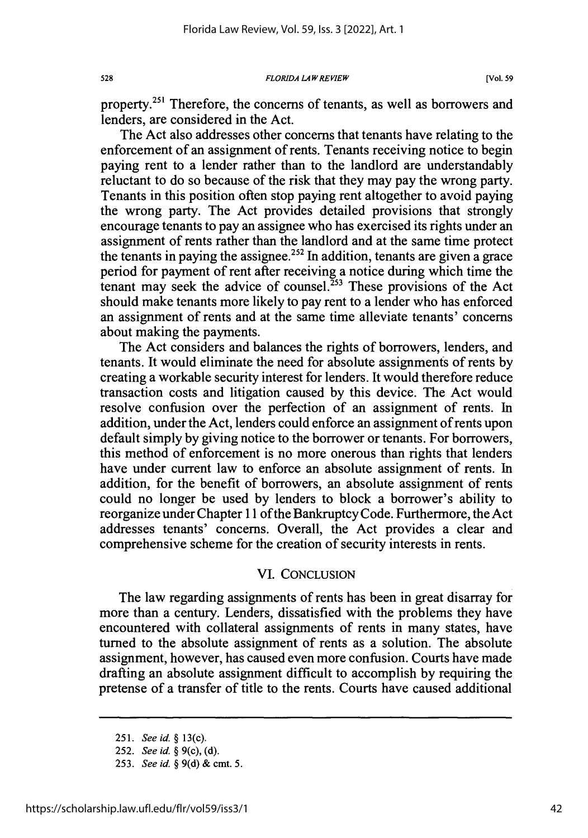*FLORIDA LAW REVIEW*

**[Vol. 59**

property.<sup>251</sup> Therefore, the concerns of tenants, as well as borrowers and lenders, are considered in the Act.

The Act also addresses other concerns that tenants have relating to the enforcement of an assignment of rents. Tenants receiving notice to begin paying rent to a lender rather than to the landlord are understandably reluctant to do so because of the risk that they may pay the wrong party. Tenants in this position often stop paying rent altogether to avoid paying the wrong party. The Act provides detailed provisions that strongly encourage tenants to pay an assignee who has exercised its rights under an assignment of rents rather than the landlord and at the same time protect the tenants in paying the assignee.<sup>252</sup> In addition, tenants are given a grace period for payment of rent after receiving a notice during which time the tenant may seek the advice of counsel.<sup>253</sup> These provisions of the Act should make tenants more likely to pay rent to a lender who has enforced an assignment of rents and at the same time alleviate tenants' concerns about making the payments.

The Act considers and balances the rights of borrowers, lenders, and tenants. It would eliminate the need for absolute assignments of rents by creating a workable security interest for lenders. It would therefore reduce transaction costs and litigation caused by this device. The Act would resolve confusion over the perfection of an assignment of rents. In addition, under the Act, lenders could enforce an assignment of rents upon default simply by giving notice to the borrower or tenants. For borrowers, this method of enforcement is no more onerous than rights that lenders have under current law to enforce an absolute assignment of rents. In addition, for the benefit of borrowers, an absolute assignment of rents could no longer be used by lenders to block a borrower's ability to reorganize under Chapter 1 1 of the Bankruptcy Code. Furthermore, the Act addresses tenants' concerns. Overall, the Act provides a clear and comprehensive scheme for the creation of security interests in rents.

## VI. CONCLUSION

The law regarding assignments of rents has been in great disarray for more than a century. Lenders, dissatisfied with the problems they have encountered with collateral assignments of rents in many states, have turned to the absolute assignment of rents as a solution. The absolute assignment, however, has caused even more confusion. Courts have made drafting an absolute assignment difficult to accomplish by requiring the pretense of a transfer of title to the rents. Courts have caused additional

528

<sup>251.</sup> *See id. §* 13(c).

<sup>252.</sup> *See id.* § 9(c), (d).

<sup>253.</sup> *See id. §* 9(d) **&** cmt. 5.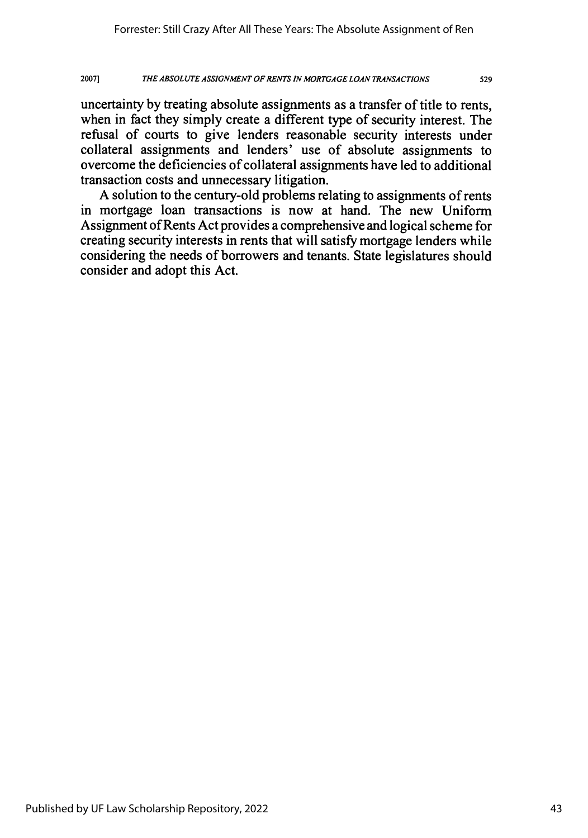uncertainty **by** treating absolute assignments as a transfer of title to rents, when in fact they simply create a different type of security interest. The refusal of courts to give lenders reasonable security interests under collateral assignments and lenders' use of absolute assignments to overcome the deficiencies of collateral assignments have led to additional transaction costs and unnecessary litigation.

**A** solution to the century-old problems relating to assignments of rents in mortgage loan transactions is now at hand. The new Uniform Assignment of Rents Act provides a comprehensive and logical scheme for creating security interests in rents that will satisfy mortgage lenders while considering the needs of borrowers and tenants. State legislatures should consider and adopt this Act.